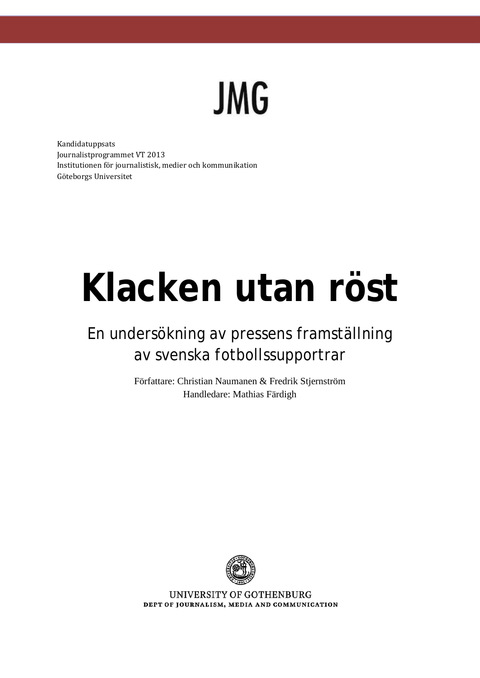

Kandidatuppsats Journalistprogrammet VT 2013 Institutionen för journalistisk, medier och kommunikation Göteborgs Universitet

# **Klacken utan röst**

# En undersökning av pressens framställning av svenska fotbollssupportrar

Författare: Christian Naumanen & Fredrik Stjernström Handledare: Mathias Färdigh



UNIVERSITY OF GOTHENBURG DEPT OF JOURNALISM, MEDIA AND COMMUNICATION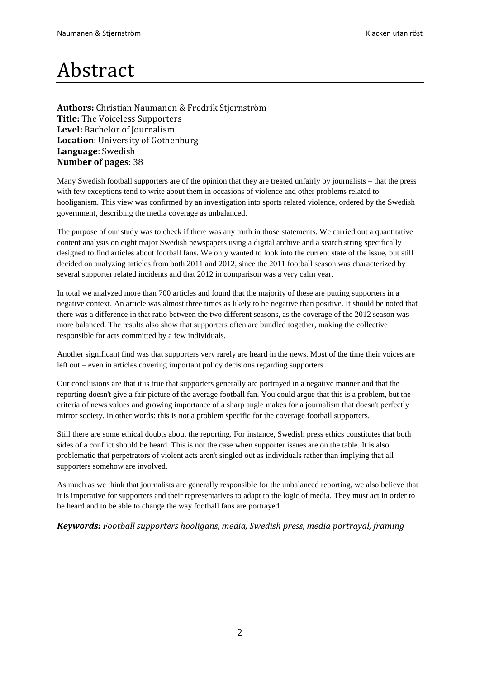# Abstract

**Authors:** Christian Naumanen & Fredrik Stjernström **Title:** The Voiceless Supporters **Level:** Bachelor of Journalism **Location**: University of Gothenburg **Language**: Swedish **Number of pages**: 38

Many Swedish football supporters are of the opinion that they are treated unfairly by journalists – that the press with few exceptions tend to write about them in occasions of violence and other problems related to hooliganism. This view was confirmed by an investigation into sports related violence, ordered by the Swedish government, describing the media coverage as unbalanced.

The purpose of our study was to check if there was any truth in those statements. We carried out a quantitative content analysis on eight major Swedish newspapers using a digital archive and a search string specifically designed to find articles about football fans. We only wanted to look into the current state of the issue, but still decided on analyzing articles from both 2011 and 2012, since the 2011 football season was characterized by several supporter related incidents and that 2012 in comparison was a very calm year.

In total we analyzed more than 700 articles and found that the majority of these are putting supporters in a negative context. An article was almost three times as likely to be negative than positive. It should be noted that there was a difference in that ratio between the two different seasons, as the coverage of the 2012 season was more balanced. The results also show that supporters often are bundled together, making the collective responsible for acts committed by a few individuals.

Another significant find was that supporters very rarely are heard in the news. Most of the time their voices are left out – even in articles covering important policy decisions regarding supporters.

Our conclusions are that it is true that supporters generally are portrayed in a negative manner and that the reporting doesn't give a fair picture of the average football fan. You could argue that this is a problem, but the criteria of news values and growing importance of a sharp angle makes for a journalism that doesn't perfectly mirror society. In other words: this is not a problem specific for the coverage football supporters.

Still there are some ethical doubts about the reporting. For instance, Swedish press ethics constitutes that both sides of a conflict should be heard. This is not the case when supporter issues are on the table. It is also problematic that perpetrators of violent acts aren't singled out as individuals rather than implying that all supporters somehow are involved.

As much as we think that journalists are generally responsible for the unbalanced reporting, we also believe that it is imperative for supporters and their representatives to adapt to the logic of media. They must act in order to be heard and to be able to change the way football fans are portrayed.

#### *Keywords: Football supporters hooligans, media, Swedish press, media portrayal, framing*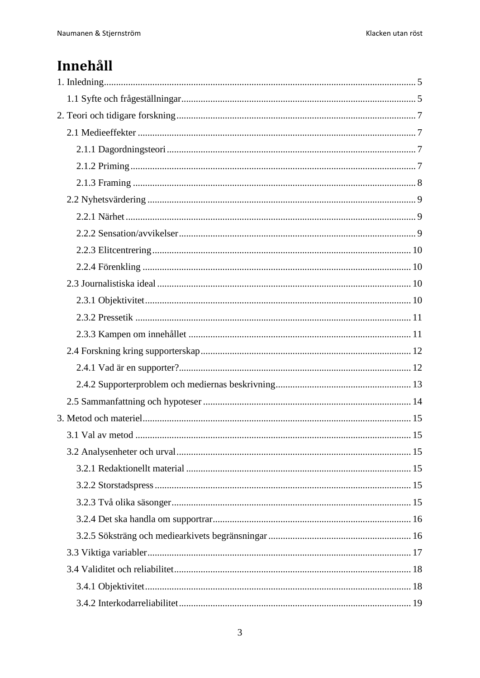# Innehåll

| 15 |  |
|----|--|
|    |  |
|    |  |
|    |  |
|    |  |
|    |  |
|    |  |
|    |  |
|    |  |
|    |  |
|    |  |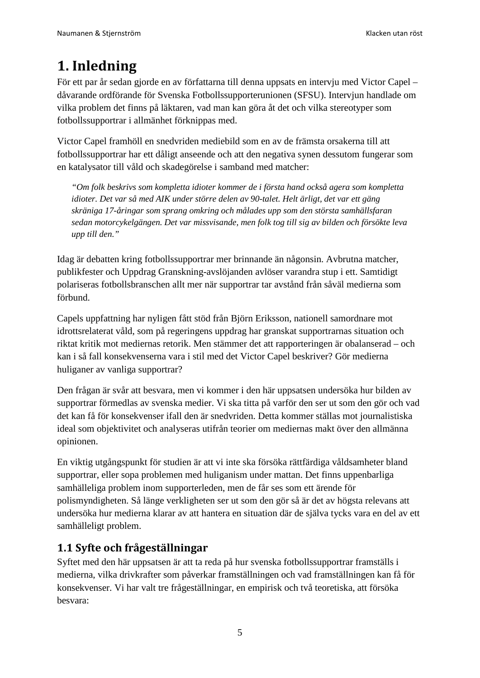# <span id="page-4-0"></span>**1. Inledning**

För ett par år sedan gjorde en av författarna till denna uppsats en intervju med Victor Capel – dåvarande ordförande för Svenska Fotbollssupporterunionen (SFSU). Intervjun handlade om vilka problem det finns på läktaren, vad man kan göra åt det och vilka stereotyper som fotbollssupportrar i allmänhet förknippas med.

Victor Capel framhöll en snedvriden mediebild som en av de främsta orsakerna till att fotbollssupportrar har ett dåligt anseende och att den negativa synen dessutom fungerar som en katalysator till våld och skadegörelse i samband med matcher:

*"Om folk beskrivs som kompletta idioter kommer de i första hand också agera som kompletta idioter. Det var så med AIK under större delen av 90-talet. Helt ärligt, det var ett gäng skräniga 17-åringar som sprang omkring och målades upp som den största samhällsfaran sedan motorcykelgängen. Det var missvisande, men folk tog till sig av bilden och försökte leva upp till den."*

Idag är debatten kring fotbollssupportrar mer brinnande än någonsin. Avbrutna matcher, publikfester och Uppdrag Granskning-avslöjanden avlöser varandra stup i ett. Samtidigt polariseras fotbollsbranschen allt mer när supportrar tar avstånd från såväl medierna som förbund.

Capels uppfattning har nyligen fått stöd från Björn Eriksson, nationell samordnare mot idrottsrelaterat våld, som på regeringens uppdrag har granskat supportrarnas situation och riktat kritik mot mediernas retorik. Men stämmer det att rapporteringen är obalanserad – och kan i så fall konsekvenserna vara i stil med det Victor Capel beskriver? Gör medierna huliganer av vanliga supportrar?

Den frågan är svår att besvara, men vi kommer i den här uppsatsen undersöka hur bilden av supportrar förmedlas av svenska medier. Vi ska titta på varför den ser ut som den gör och vad det kan få för konsekvenser ifall den är snedvriden. Detta kommer ställas mot journalistiska ideal som objektivitet och analyseras utifrån teorier om mediernas makt över den allmänna opinionen.

En viktig utgångspunkt för studien är att vi inte ska försöka rättfärdiga våldsamheter bland supportrar, eller sopa problemen med huliganism under mattan. Det finns uppenbarliga samhälleliga problem inom supporterleden, men de får ses som ett ärende för polismyndigheten. Så länge verkligheten ser ut som den gör så är det av högsta relevans att undersöka hur medierna klarar av att hantera en situation där de själva tycks vara en del av ett samhälleligt problem.

# <span id="page-4-1"></span>**1.1 Syfte och frågeställningar**

Syftet med den här uppsatsen är att ta reda på hur svenska fotbollssupportrar framställs i medierna, vilka drivkrafter som påverkar framställningen och vad framställningen kan få för konsekvenser. Vi har valt tre frågeställningar, en empirisk och två teoretiska, att försöka besvara: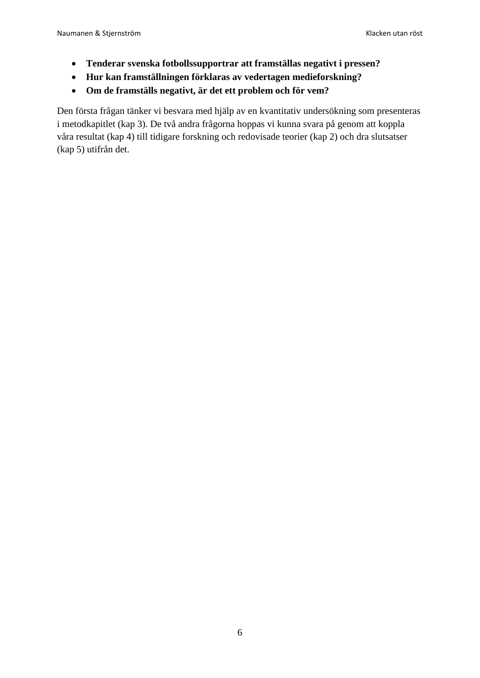- **Tenderar svenska fotbollssupportrar att framställas negativt i pressen?**
- **Hur kan framställningen förklaras av vedertagen medieforskning?**
- **Om de framställs negativt, är det ett problem och för vem?**

Den första frågan tänker vi besvara med hjälp av en kvantitativ undersökning som presenteras i metodkapitlet (kap 3). De två andra frågorna hoppas vi kunna svara på genom att koppla våra resultat (kap 4) till tidigare forskning och redovisade teorier (kap 2) och dra slutsatser (kap 5) utifrån det.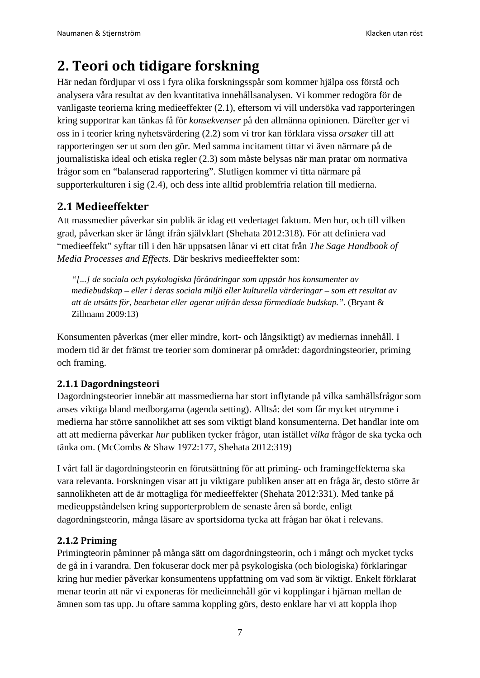# <span id="page-6-0"></span>**2. Teori och tidigare forskning**

Här nedan fördjupar vi oss i fyra olika forskningsspår som kommer hjälpa oss förstå och analysera våra resultat av den kvantitativa innehållsanalysen. Vi kommer redogöra för de vanligaste teorierna kring medieeffekter (2.1), eftersom vi vill undersöka vad rapporteringen kring supportrar kan tänkas få för *konsekvenser* på den allmänna opinionen. Därefter ger vi oss in i teorier kring nyhetsvärdering (2.2) som vi tror kan förklara vissa *orsaker* till att rapporteringen ser ut som den gör. Med samma incitament tittar vi även närmare på de journalistiska ideal och etiska regler (2.3) som måste belysas när man pratar om normativa frågor som en "balanserad rapportering". Slutligen kommer vi titta närmare på supporterkulturen i sig (2.4), och dess inte alltid problemfria relation till medierna.

# <span id="page-6-1"></span>**2.1 Medieeffekter**

Att massmedier påverkar sin publik är idag ett vedertaget faktum. Men hur, och till vilken grad, påverkan sker är långt ifrån självklart (Shehata 2012:318). För att definiera vad "medieeffekt" syftar till i den här uppsatsen lånar vi ett citat från *The Sage Handbook of Media Processes and Effects*. Där beskrivs medieeffekter som:

*"[...] de sociala och psykologiska förändringar som uppstår hos konsumenter av mediebudskap – eller i deras sociala miljö eller kulturella värderingar – som ett resultat av att de utsätts för, bearbetar eller agerar utifrån dessa förmedlade budskap.".* (Bryant & Zillmann 2009:13)

Konsumenten påverkas (mer eller mindre, kort- och långsiktigt) av mediernas innehåll. I modern tid är det främst tre teorier som dominerar på området: dagordningsteorier, priming och framing.

## <span id="page-6-2"></span>**2.1.1 Dagordningsteori**

Dagordningsteorier innebär att massmedierna har stort inflytande på vilka samhällsfrågor som anses viktiga bland medborgarna (agenda setting). Alltså: det som får mycket utrymme i medierna har större sannolikhet att ses som viktigt bland konsumenterna. Det handlar inte om att att medierna påverkar *hur* publiken tycker frågor, utan istället *vilka* frågor de ska tycka och tänka om. (McCombs & Shaw 1972:177, Shehata 2012:319)

I vårt fall är dagordningsteorin en förutsättning för att priming- och framingeffekterna ska vara relevanta. Forskningen visar att ju viktigare publiken anser att en fråga är, desto större är sannolikheten att de är mottagliga för medieeffekter (Shehata 2012:331). Med tanke på medieuppståndelsen kring supporterproblem de senaste åren så borde, enligt dagordningsteorin, många läsare av sportsidorna tycka att frågan har ökat i relevans.

#### <span id="page-6-3"></span>**2.1.2 Priming**

Primingteorin påminner på många sätt om dagordningsteorin, och i mångt och mycket tycks de gå in i varandra. Den fokuserar dock mer på psykologiska (och biologiska) förklaringar kring hur medier påverkar konsumentens uppfattning om vad som är viktigt. Enkelt förklarat menar teorin att när vi exponeras för medieinnehåll gör vi kopplingar i hjärnan mellan de ämnen som tas upp. Ju oftare samma koppling görs, desto enklare har vi att koppla ihop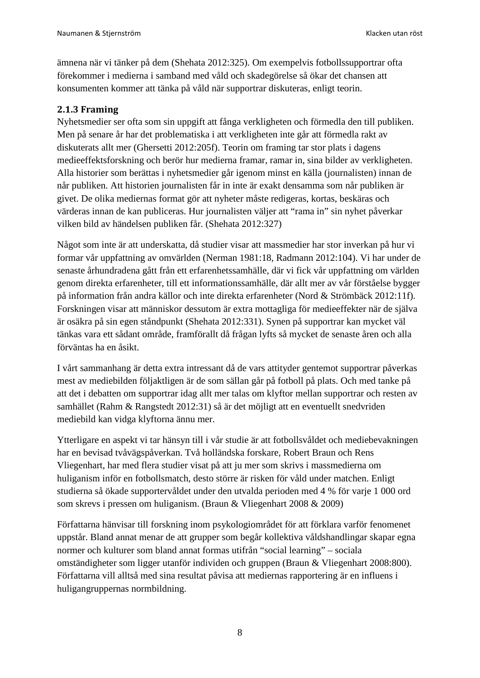ämnena när vi tänker på dem (Shehata 2012:325). Om exempelvis fotbollssupportrar ofta förekommer i medierna i samband med våld och skadegörelse så ökar det chansen att konsumenten kommer att tänka på våld när supportrar diskuteras, enligt teorin.

#### <span id="page-7-0"></span>**2.1.3 Framing**

Nyhetsmedier ser ofta som sin uppgift att fånga verkligheten och förmedla den till publiken. Men på senare år har det problematiska i att verkligheten inte går att förmedla rakt av diskuterats allt mer (Ghersetti 2012:205f). Teorin om framing tar stor plats i dagens medieeffektsforskning och berör hur medierna framar, ramar in, sina bilder av verkligheten. Alla historier som berättas i nyhetsmedier går igenom minst en källa (journalisten) innan de når publiken. Att historien journalisten får in inte är exakt densamma som når publiken är givet. De olika mediernas format gör att nyheter måste redigeras, kortas, beskäras och värderas innan de kan publiceras. Hur journalisten väljer att "rama in" sin nyhet påverkar vilken bild av händelsen publiken får. (Shehata 2012:327)

Något som inte är att underskatta, då studier visar att massmedier har stor inverkan på hur vi formar vår uppfattning av omvärlden (Nerman 1981:18, Radmann 2012:104). Vi har under de senaste århundradena gått från ett erfarenhetssamhälle, där vi fick vår uppfattning om världen genom direkta erfarenheter, till ett informationssamhälle, där allt mer av vår förståelse bygger på information från andra källor och inte direkta erfarenheter (Nord & Strömbäck 2012:11f). Forskningen visar att människor dessutom är extra mottagliga för medieeffekter när de själva är osäkra på sin egen ståndpunkt (Shehata 2012:331). Synen på supportrar kan mycket väl tänkas vara ett sådant område, framförallt då frågan lyfts så mycket de senaste åren och alla förväntas ha en åsikt.

I vårt sammanhang är detta extra intressant då de vars attityder gentemot supportrar påverkas mest av mediebilden följaktligen är de som sällan går på fotboll på plats. Och med tanke på att det i debatten om supportrar idag allt mer talas om klyftor mellan supportrar och resten av samhället (Rahm & Rangstedt 2012:31) så är det möjligt att en eventuellt snedvriden mediebild kan vidga klyftorna ännu mer.

Ytterligare en aspekt vi tar hänsyn till i vår studie är att fotbollsvåldet och mediebevakningen har en bevisad tvåvägspåverkan. Två holländska forskare, Robert Braun och Rens Vliegenhart, har med flera studier visat på att ju mer som skrivs i massmedierna om huliganism inför en fotbollsmatch, desto större är risken för våld under matchen. Enligt studierna så ökade supportervåldet under den utvalda perioden med 4 % för varje 1 000 ord som skrevs i pressen om huliganism. (Braun & Vliegenhart 2008 & 2009)

Författarna hänvisar till forskning inom psykologiområdet för att förklara varför fenomenet uppstår. Bland annat menar de att grupper som begår kollektiva våldshandlingar skapar egna normer och kulturer som bland annat formas utifrån "social learning" – sociala omständigheter som ligger utanför individen och gruppen (Braun & Vliegenhart 2008:800). Författarna vill alltså med sina resultat påvisa att mediernas rapportering är en influens i huligangruppernas normbildning.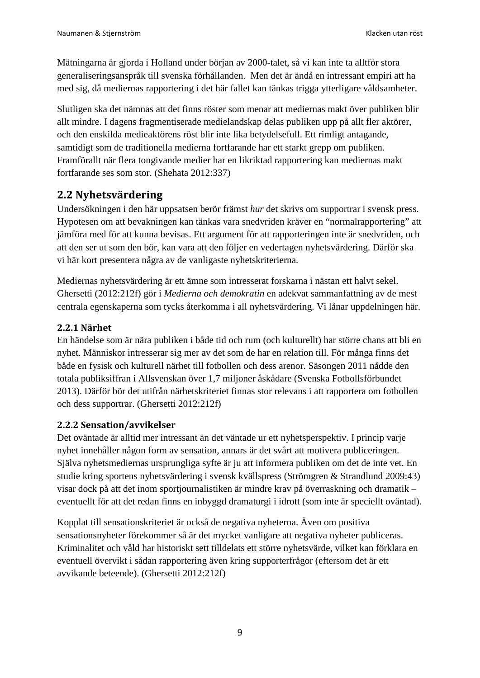Mätningarna är gjorda i Holland under början av 2000-talet, så vi kan inte ta alltför stora generaliseringsanspråk till svenska förhållanden. Men det är ändå en intressant empiri att ha med sig, då mediernas rapportering i det här fallet kan tänkas trigga ytterligare våldsamheter.

Slutligen ska det nämnas att det finns röster som menar att mediernas makt över publiken blir allt mindre. I dagens fragmentiserade medielandskap delas publiken upp på allt fler aktörer, och den enskilda medieaktörens röst blir inte lika betydelsefull. Ett rimligt antagande, samtidigt som de traditionella medierna fortfarande har ett starkt grepp om publiken. Framförallt när flera tongivande medier har en likriktad rapportering kan mediernas makt fortfarande ses som stor. (Shehata 2012:337)

## <span id="page-8-0"></span>**2.2 Nyhetsvärdering**

Undersökningen i den här uppsatsen berör främst *hur* det skrivs om supportrar i svensk press. Hypotesen om att bevakningen kan tänkas vara snedvriden kräver en "normalrapportering" att jämföra med för att kunna bevisas. Ett argument för att rapporteringen inte är snedvriden, och att den ser ut som den bör, kan vara att den följer en vedertagen nyhetsvärdering. Därför ska vi här kort presentera några av de vanligaste nyhetskriterierna.

Mediernas nyhetsvärdering är ett ämne som intresserat forskarna i nästan ett halvt sekel. Ghersetti (2012:212f) gör i *Medierna och demokratin* en adekvat sammanfattning av de mest centrala egenskaperna som tycks återkomma i all nyhetsvärdering. Vi lånar uppdelningen här.

#### <span id="page-8-1"></span>**2.2.1 Närhet**

En händelse som är nära publiken i både tid och rum (och kulturellt) har större chans att bli en nyhet. Människor intresserar sig mer av det som de har en relation till. För många finns det både en fysisk och kulturell närhet till fotbollen och dess arenor. Säsongen 2011 nådde den totala publiksiffran i Allsvenskan över 1,7 miljoner åskådare (Svenska Fotbollsförbundet 2013). Därför bör det utifrån närhetskriteriet finnas stor relevans i att rapportera om fotbollen och dess supportrar. (Ghersetti 2012:212f)

#### <span id="page-8-2"></span>**2.2.2 Sensation/avvikelser**

Det oväntade är alltid mer intressant än det väntade ur ett nyhetsperspektiv. I princip varje nyhet innehåller någon form av sensation, annars är det svårt att motivera publiceringen. Själva nyhetsmediernas ursprungliga syfte är ju att informera publiken om det de inte vet. En studie kring sportens nyhetsvärdering i svensk kvällspress (Strömgren & Strandlund 2009:43) visar dock på att det inom sportjournalistiken är mindre krav på överraskning och dramatik – eventuellt för att det redan finns en inbyggd dramaturgi i idrott (som inte är speciellt oväntad).

<span id="page-8-3"></span>Kopplat till sensationskriteriet är också de negativa nyheterna. Även om positiva sensationsnyheter förekommer så är det mycket vanligare att negativa nyheter publiceras. Kriminalitet och våld har historiskt sett tilldelats ett större nyhetsvärde, vilket kan förklara en eventuell övervikt i sådan rapportering även kring supporterfrågor (eftersom det är ett avvikande beteende). (Ghersetti 2012:212f)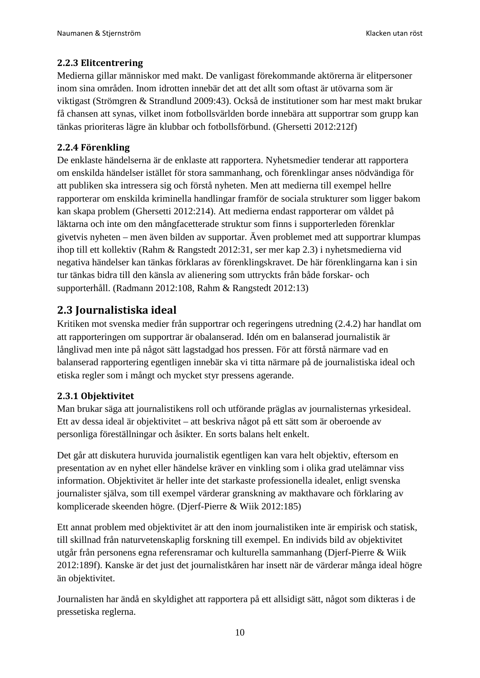#### **2.2.3 Elitcentrering**

Medierna gillar människor med makt. De vanligast förekommande aktörerna är elitpersoner inom sina områden. Inom idrotten innebär det att det allt som oftast är utövarna som är viktigast (Strömgren & Strandlund 2009:43). Också de institutioner som har mest makt brukar få chansen att synas, vilket inom fotbollsvärlden borde innebära att supportrar som grupp kan tänkas prioriteras lägre än klubbar och fotbollsförbund. (Ghersetti 2012:212f)

#### <span id="page-9-0"></span>**2.2.4 Förenkling**

De enklaste händelserna är de enklaste att rapportera. Nyhetsmedier tenderar att rapportera om enskilda händelser istället för stora sammanhang, och förenklingar anses nödvändiga för att publiken ska intressera sig och förstå nyheten. Men att medierna till exempel hellre rapporterar om enskilda kriminella handlingar framför de sociala strukturer som ligger bakom kan skapa problem (Ghersetti 2012:214). Att medierna endast rapporterar om våldet på läktarna och inte om den mångfacetterade struktur som finns i supporterleden förenklar givetvis nyheten – men även bilden av supportar. Även problemet med att supportrar klumpas ihop till ett kollektiv (Rahm & Rangstedt 2012:31, ser mer kap 2.3) i nyhetsmedierna vid negativa händelser kan tänkas förklaras av förenklingskravet. De här förenklingarna kan i sin tur tänkas bidra till den känsla av alienering som uttryckts från både forskar- och supporterhåll. (Radmann 2012:108, Rahm & Rangstedt 2012:13)

## <span id="page-9-1"></span>**2.3 Journalistiska ideal**

Kritiken mot svenska medier från supportrar och regeringens utredning (2.4.2) har handlat om att rapporteringen om supportrar är obalanserad. Idén om en balanserad journalistik är långlivad men inte på något sätt lagstadgad hos pressen. För att förstå närmare vad en balanserad rapportering egentligen innebär ska vi titta närmare på de journalistiska ideal och etiska regler som i mångt och mycket styr pressens agerande.

#### <span id="page-9-2"></span>**2.3.1 Objektivitet**

Man brukar säga att journalistikens roll och utförande präglas av journalisternas yrkesideal. Ett av dessa ideal är objektivitet – att beskriva något på ett sätt som är oberoende av personliga föreställningar och åsikter. En sorts balans helt enkelt.

Det går att diskutera huruvida journalistik egentligen kan vara helt objektiv, eftersom en presentation av en nyhet eller händelse kräver en vinkling som i olika grad utelämnar viss information. Objektivitet är heller inte det starkaste professionella idealet, enligt svenska journalister själva, som till exempel värderar granskning av makthavare och förklaring av komplicerade skeenden högre. (Djerf-Pierre & Wiik 2012:185)

Ett annat problem med objektivitet är att den inom journalistiken inte är empirisk och statisk, till skillnad från naturvetenskaplig forskning till exempel. En individs bild av objektivitet utgår från personens egna referensramar och kulturella sammanhang (Djerf-Pierre & Wiik 2012:189f). Kanske är det just det journalistkåren har insett när de värderar många ideal högre än objektivitet.

Journalisten har ändå en skyldighet att rapportera på ett allsidigt sätt, något som dikteras i de pressetiska reglerna.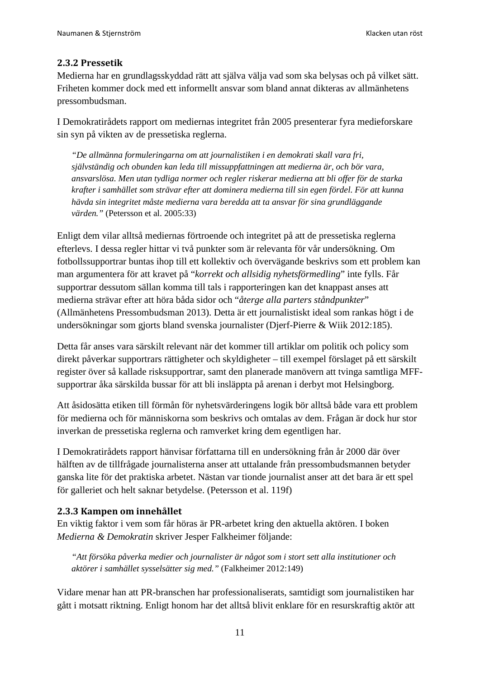#### <span id="page-10-0"></span>**2.3.2 Pressetik**

Medierna har en grundlagsskyddad rätt att själva välja vad som ska belysas och på vilket sätt. Friheten kommer dock med ett informellt ansvar som bland annat dikteras av allmänhetens pressombudsman.

I Demokratirådets rapport om mediernas integritet från 2005 presenterar fyra medieforskare sin syn på vikten av de pressetiska reglerna.

*"De allmänna formuleringarna om att journalistiken i en demokrati skall vara fri, självständig och obunden kan leda till missuppfattningen att medierna är, och bör vara, ansvarslösa. Men utan tydliga normer och regler riskerar medierna att bli offer för de starka krafter i samhället som strävar efter att dominera medierna till sin egen fördel. För att kunna hävda sin integritet måste medierna vara beredda att ta ansvar för sina grundläggande värden."* (Petersson et al. 2005:33)

Enligt dem vilar alltså mediernas förtroende och integritet på att de pressetiska reglerna efterlevs. I dessa regler hittar vi två punkter som är relevanta för vår undersökning. Om fotbollssupportrar buntas ihop till ett kollektiv och övervägande beskrivs som ett problem kan man argumentera för att kravet på "*korrekt och allsidig nyhetsförmedling*" inte fylls. Får supportrar dessutom sällan komma till tals i rapporteringen kan det knappast anses att medierna strävar efter att höra båda sidor och "*återge alla parters ståndpunkter*" (Allmänhetens Pressombudsman 2013). Detta är ett journalistiskt ideal som rankas högt i de undersökningar som gjorts bland svenska journalister (Djerf-Pierre & Wiik 2012:185).

Detta får anses vara särskilt relevant när det kommer till artiklar om politik och policy som direkt påverkar supportrars rättigheter och skyldigheter – till exempel förslaget på ett särskilt register över så kallade risksupportrar, samt den planerade manövern att tvinga samtliga MFFsupportrar åka särskilda bussar för att bli insläppta på arenan i derbyt mot Helsingborg.

Att åsidosätta etiken till förmån för nyhetsvärderingens logik bör alltså både vara ett problem för medierna och för människorna som beskrivs och omtalas av dem. Frågan är dock hur stor inverkan de pressetiska reglerna och ramverket kring dem egentligen har.

I Demokratirådets rapport hänvisar författarna till en undersökning från år 2000 där över hälften av de tillfrågade journalisterna anser att uttalande från pressombudsmannen betyder ganska lite för det praktiska arbetet. Nästan var tionde journalist anser att det bara är ett spel för galleriet och helt saknar betydelse. (Petersson et al. 119f)

#### <span id="page-10-1"></span>**2.3.3 Kampen om innehållet**

En viktig faktor i vem som får höras är PR-arbetet kring den aktuella aktören. I boken *Medierna & Demokratin* skriver Jesper Falkheimer följande:

*"Att försöka påverka medier och journalister är något som i stort sett alla institutioner och aktörer i samhället sysselsätter sig med."* (Falkheimer 2012:149)

Vidare menar han att PR-branschen har professionaliserats, samtidigt som journalistiken har gått i motsatt riktning. Enligt honom har det alltså blivit enklare för en resurskraftig aktör att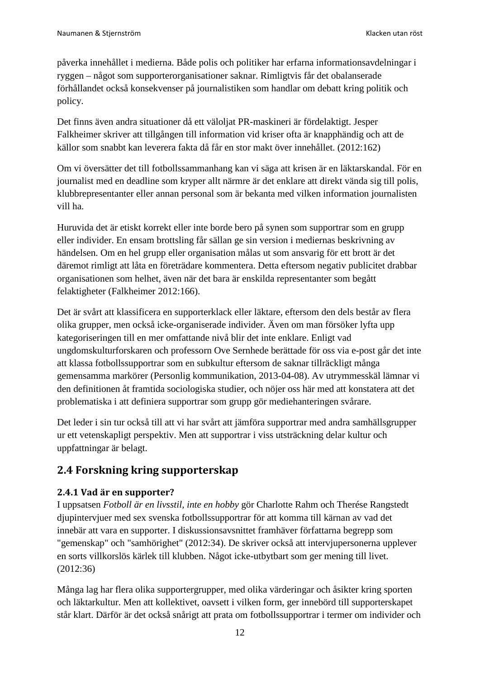påverka innehållet i medierna. Både polis och politiker har erfarna informationsavdelningar i ryggen – något som supporterorganisationer saknar. Rimligtvis får det obalanserade förhållandet också konsekvenser på journalistiken som handlar om debatt kring politik och policy.

Det finns även andra situationer då ett väloljat PR-maskineri är fördelaktigt. Jesper Falkheimer skriver att tillgången till information vid kriser ofta är knapphändig och att de källor som snabbt kan leverera fakta då får en stor makt över innehållet. (2012:162)

Om vi översätter det till fotbollssammanhang kan vi säga att krisen är en läktarskandal. För en journalist med en deadline som kryper allt närmre är det enklare att direkt vända sig till polis, klubbrepresentanter eller annan personal som är bekanta med vilken information journalisten vill ha.

Huruvida det är etiskt korrekt eller inte borde bero på synen som supportrar som en grupp eller individer. En ensam brottsling får sällan ge sin version i mediernas beskrivning av händelsen. Om en hel grupp eller organisation målas ut som ansvarig för ett brott är det däremot rimligt att låta en företrädare kommentera. Detta eftersom negativ publicitet drabbar organisationen som helhet, även när det bara är enskilda representanter som begått felaktigheter (Falkheimer 2012:166).

Det är svårt att klassificera en supporterklack eller läktare, eftersom den dels består av flera olika grupper, men också icke-organiserade individer. Även om man försöker lyfta upp kategoriseringen till en mer omfattande nivå blir det inte enklare. Enligt vad ungdomskulturforskaren och professorn Ove Sernhede berättade för oss via e-post går det inte att klassa fotbollssupportrar som en subkultur eftersom de saknar tillräckligt många gemensamma markörer (Personlig kommunikation, 2013-04-08). Av utrymmesskäl lämnar vi den definitionen åt framtida sociologiska studier, och nöjer oss här med att konstatera att det problematiska i att definiera supportrar som grupp gör mediehanteringen svårare.

Det leder i sin tur också till att vi har svårt att jämföra supportrar med andra samhällsgrupper ur ett vetenskapligt perspektiv. Men att supportrar i viss utsträckning delar kultur och uppfattningar är belagt.

# <span id="page-11-0"></span>**2.4 Forskning kring supporterskap**

#### <span id="page-11-1"></span>**2.4.1 Vad är en supporter?**

I uppsatsen *Fotboll är en livsstil, inte en hobby* gör Charlotte Rahm och Therése Rangstedt djupintervjuer med sex svenska fotbollssupportrar för att komma till kärnan av vad det innebär att vara en supporter. I diskussionsavsnittet framhäver författarna begrepp som "gemenskap" och "samhörighet" (2012:34). De skriver också att intervjupersonerna upplever en sorts villkorslös kärlek till klubben. Något icke-utbytbart som ger mening till livet. (2012:36)

Många lag har flera olika supportergrupper, med olika värderingar och åsikter kring sporten och läktarkultur. Men att kollektivet, oavsett i vilken form, ger innebörd till supporterskapet står klart. Därför är det också snårigt att prata om fotbollssupportrar i termer om individer och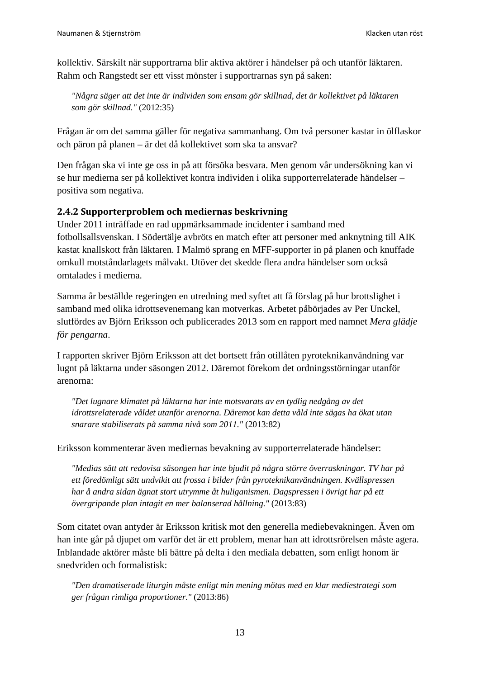kollektiv. Särskilt när supportrarna blir aktiva aktörer i händelser på och utanför läktaren. Rahm och Rangstedt ser ett visst mönster i supportrarnas syn på saken:

*"Några säger att det inte är individen som ensam gör skillnad, det är kollektivet på läktaren som gör skillnad."* (2012:35)

Frågan är om det samma gäller för negativa sammanhang. Om två personer kastar in ölflaskor och päron på planen – är det då kollektivet som ska ta ansvar?

Den frågan ska vi inte ge oss in på att försöka besvara. Men genom vår undersökning kan vi se hur medierna ser på kollektivet kontra individen i olika supporterrelaterade händelser – positiva som negativa.

#### <span id="page-12-0"></span>**2.4.2 Supporterproblem och mediernas beskrivning**

Under 2011 inträffade en rad uppmärksammade incidenter i samband med fotbollsallsvenskan. I Södertälje avbröts en match efter att personer med anknytning till AIK kastat knallskott från läktaren. I Malmö sprang en MFF-supporter in på planen och knuffade omkull motståndarlagets målvakt. Utöver det skedde flera andra händelser som också omtalades i medierna.

Samma år beställde regeringen en utredning med syftet att få förslag på hur brottslighet i samband med olika idrottsevenemang kan motverkas. Arbetet påbörjades av Per Unckel, slutfördes av Björn Eriksson och publicerades 2013 som en rapport med namnet *Mera glädje för pengarna*.

I rapporten skriver Björn Eriksson att det bortsett från otillåten pyroteknikanvändning var lugnt på läktarna under säsongen 2012. Däremot förekom det ordningsstörningar utanför arenorna:

*"Det lugnare klimatet på läktarna har inte motsvarats av en tydlig nedgång av det idrottsrelaterade våldet utanför arenorna. Däremot kan detta våld inte sägas ha ökat utan snarare stabiliserats på samma nivå som 2011."* (2013:82)

Eriksson kommenterar även mediernas bevakning av supporterrelaterade händelser:

*"Medias sätt att redovisa säsongen har inte bjudit på några större överraskningar. TV har på ett föredömligt sätt undvikit att frossa i bilder från pyroteknikanvändningen. Kvällspressen har å andra sidan ägnat stort utrymme åt huliganismen. Dagspressen i övrigt har på ett övergripande plan intagit en mer balanserad hållning."* (2013:83)

Som citatet ovan antyder är Eriksson kritisk mot den generella mediebevakningen. Även om han inte går på djupet om varför det är ett problem, menar han att idrottsrörelsen måste agera. Inblandade aktörer måste bli bättre på delta i den mediala debatten, som enligt honom är snedvriden och formalistisk:

*"Den dramatiserade liturgin måste enligt min mening mötas med en klar mediestrategi som ger frågan rimliga proportioner."* (2013:86)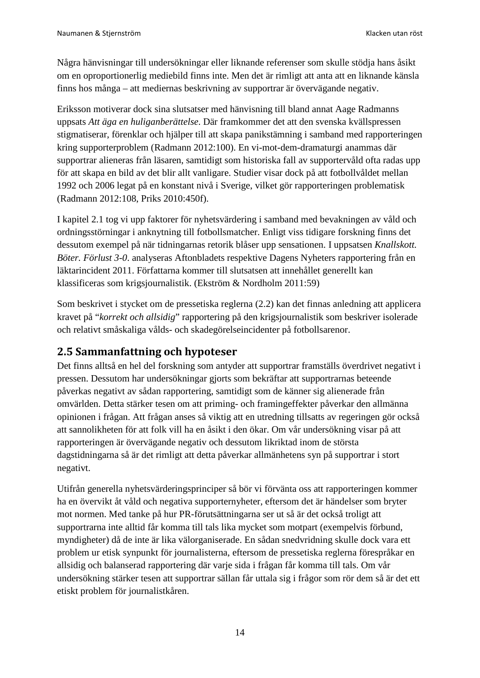Några hänvisningar till undersökningar eller liknande referenser som skulle stödja hans åsikt om en oproportionerlig mediebild finns inte. Men det är rimligt att anta att en liknande känsla finns hos många – att mediernas beskrivning av supportrar är övervägande negativ.

Eriksson motiverar dock sina slutsatser med hänvisning till bland annat Aage Radmanns uppsats *Att äga en huliganberättelse*. Där framkommer det att den svenska kvällspressen stigmatiserar, förenklar och hjälper till att skapa panikstämning i samband med rapporteringen kring supporterproblem (Radmann 2012:100). En vi-mot-dem-dramaturgi anammas där supportrar alieneras från läsaren, samtidigt som historiska fall av supportervåld ofta radas upp för att skapa en bild av det blir allt vanligare. Studier visar dock på att fotbollvåldet mellan 1992 och 2006 legat på en konstant nivå i Sverige, vilket gör rapporteringen problematisk (Radmann 2012:108, Priks 2010:450f).

I kapitel 2.1 tog vi upp faktorer för nyhetsvärdering i samband med bevakningen av våld och ordningsstörningar i anknytning till fotbollsmatcher. Enligt viss tidigare forskning finns det dessutom exempel på när tidningarnas retorik blåser upp sensationen. I uppsatsen *Knallskott. Böter. Förlust 3-0*. analyseras Aftonbladets respektive Dagens Nyheters rapportering från en läktarincident 2011. Författarna kommer till slutsatsen att innehållet generellt kan klassificeras som krigsjournalistik. (Ekström & Nordholm 2011:59)

Som beskrivet i stycket om de pressetiska reglerna (2.2) kan det finnas anledning att applicera kravet på "*korrekt och allsidig*" rapportering på den krigsjournalistik som beskriver isolerade och relativt småskaliga vålds- och skadegörelseincidenter på fotbollsarenor.

## <span id="page-13-0"></span>**2.5 Sammanfattning och hypoteser**

Det finns alltså en hel del forskning som antyder att supportrar framställs överdrivet negativt i pressen. Dessutom har undersökningar gjorts som bekräftar att supportrarnas beteende påverkas negativt av sådan rapportering, samtidigt som de känner sig alienerade från omvärlden. Detta stärker tesen om att priming- och framingeffekter påverkar den allmänna opinionen i frågan. Att frågan anses så viktig att en utredning tillsatts av regeringen gör också att sannolikheten för att folk vill ha en åsikt i den ökar. Om vår undersökning visar på att rapporteringen är övervägande negativ och dessutom likriktad inom de största dagstidningarna så är det rimligt att detta påverkar allmänhetens syn på supportrar i stort negativt.

Utifrån generella nyhetsvärderingsprinciper så bör vi förvänta oss att rapporteringen kommer ha en övervikt åt våld och negativa supporternyheter, eftersom det är händelser som bryter mot normen. Med tanke på hur PR-förutsättningarna ser ut så är det också troligt att supportrarna inte alltid får komma till tals lika mycket som motpart (exempelvis förbund, myndigheter) då de inte är lika välorganiserade. En sådan snedvridning skulle dock vara ett problem ur etisk synpunkt för journalisterna, eftersom de pressetiska reglerna förespråkar en allsidig och balanserad rapportering där varje sida i frågan får komma till tals. Om vår undersökning stärker tesen att supportrar sällan får uttala sig i frågor som rör dem så är det ett etiskt problem för journalistkåren.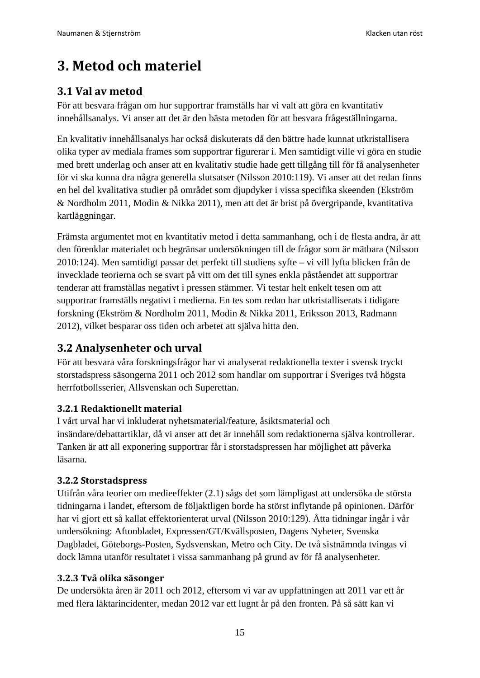# <span id="page-14-0"></span>**3. Metod och materiel**

# <span id="page-14-1"></span>**3.1 Val av metod**

För att besvara frågan om hur supportrar framställs har vi valt att göra en kvantitativ innehållsanalys. Vi anser att det är den bästa metoden för att besvara frågeställningarna.

En kvalitativ innehållsanalys har också diskuterats då den bättre hade kunnat utkristallisera olika typer av mediala frames som supportrar figurerar i. Men samtidigt ville vi göra en studie med brett underlag och anser att en kvalitativ studie hade gett tillgång till för få analysenheter för vi ska kunna dra några generella slutsatser (Nilsson 2010:119). Vi anser att det redan finns en hel del kvalitativa studier på området som djupdyker i vissa specifika skeenden (Ekström & Nordholm 2011, Modin & Nikka 2011), men att det är brist på övergripande, kvantitativa kartläggningar.

Främsta argumentet mot en kvantitativ metod i detta sammanhang, och i de flesta andra, är att den förenklar materialet och begränsar undersökningen till de frågor som är mätbara (Nilsson 2010:124). Men samtidigt passar det perfekt till studiens syfte – vi vill lyfta blicken från de invecklade teorierna och se svart på vitt om det till synes enkla påståendet att supportrar tenderar att framställas negativt i pressen stämmer. Vi testar helt enkelt tesen om att supportrar framställs negativt i medierna. En tes som redan har utkristalliserats i tidigare forskning (Ekström & Nordholm 2011, Modin & Nikka 2011, Eriksson 2013, Radmann 2012), vilket besparar oss tiden och arbetet att själva hitta den.

# <span id="page-14-2"></span>**3.2 Analysenheter och urval**

För att besvara våra forskningsfrågor har vi analyserat redaktionella texter i svensk tryckt storstadspress säsongerna 2011 och 2012 som handlar om supportrar i Sveriges två högsta herrfotbollsserier, Allsvenskan och Superettan.

## <span id="page-14-3"></span>**3.2.1 Redaktionellt material**

I vårt urval har vi inkluderat nyhetsmaterial/feature, åsiktsmaterial och insändare/debattartiklar, då vi anser att det är innehåll som redaktionerna själva kontrollerar. Tanken är att all exponering supportrar får i storstadspressen har möjlighet att påverka läsarna.

#### <span id="page-14-4"></span>**3.2.2 Storstadspress**

Utifrån våra teorier om medieeffekter (2.1) sågs det som lämpligast att undersöka de största tidningarna i landet, eftersom de följaktligen borde ha störst inflytande på opinionen. Därför har vi gjort ett så kallat effektorienterat urval (Nilsson 2010:129). Åtta tidningar ingår i vår undersökning: Aftonbladet, Expressen/GT/Kvällsposten, Dagens Nyheter, Svenska Dagbladet, Göteborgs-Posten, Sydsvenskan, Metro och City. De två sistnämnda tvingas vi dock lämna utanför resultatet i vissa sammanhang på grund av för få analysenheter.

#### <span id="page-14-5"></span>**3.2.3 Två olika säsonger**

De undersökta åren är 2011 och 2012, eftersom vi var av uppfattningen att 2011 var ett år med flera läktarincidenter, medan 2012 var ett lugnt år på den fronten. På så sätt kan vi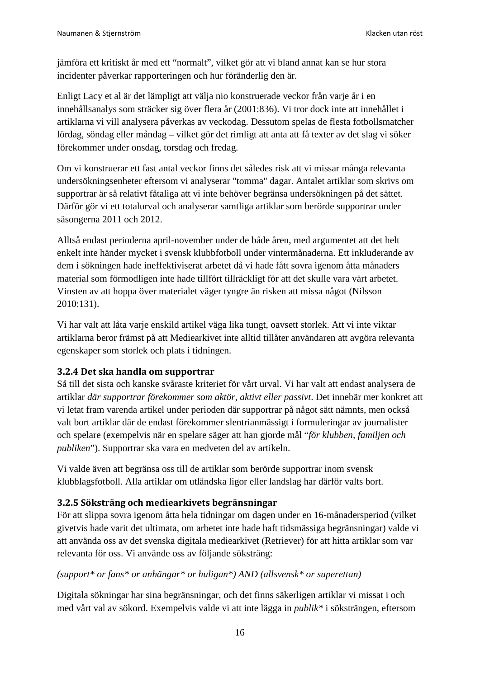jämföra ett kritiskt år med ett "normalt", vilket gör att vi bland annat kan se hur stora incidenter påverkar rapporteringen och hur föränderlig den är.

Enligt Lacy et al är det lämpligt att välja nio konstruerade veckor från varje år i en innehållsanalys som sträcker sig över flera år (2001:836). Vi tror dock inte att innehållet i artiklarna vi vill analysera påverkas av veckodag. Dessutom spelas de flesta fotbollsmatcher lördag, söndag eller måndag – vilket gör det rimligt att anta att få texter av det slag vi söker förekommer under onsdag, torsdag och fredag.

Om vi konstruerar ett fast antal veckor finns det således risk att vi missar många relevanta undersökningsenheter eftersom vi analyserar "tomma" dagar. Antalet artiklar som skrivs om supportrar är så relativt fåtaliga att vi inte behöver begränsa undersökningen på det sättet. Därför gör vi ett totalurval och analyserar samtliga artiklar som berörde supportrar under säsongerna 2011 och 2012.

Alltså endast perioderna april-november under de både åren, med argumentet att det helt enkelt inte händer mycket i svensk klubbfotboll under vintermånaderna. Ett inkluderande av dem i sökningen hade ineffektiviserat arbetet då vi hade fått sovra igenom åtta månaders material som förmodligen inte hade tillfört tillräckligt för att det skulle vara värt arbetet. Vinsten av att hoppa över materialet väger tyngre än risken att missa något (Nilsson 2010:131).

Vi har valt att låta varje enskild artikel väga lika tungt, oavsett storlek. Att vi inte viktar artiklarna beror främst på att Mediearkivet inte alltid tillåter användaren att avgöra relevanta egenskaper som storlek och plats i tidningen.

#### <span id="page-15-0"></span>**3.2.4 Det ska handla om supportrar**

Så till det sista och kanske svåraste kriteriet för vårt urval. Vi har valt att endast analysera de artiklar *där supportrar förekommer som aktör, aktivt eller passivt*. Det innebär mer konkret att vi letat fram varenda artikel under perioden där supportrar på något sätt nämnts, men också valt bort artiklar där de endast förekommer slentrianmässigt i formuleringar av journalister och spelare (exempelvis när en spelare säger att han gjorde mål "*för klubben, familjen och publiken*"). Supportrar ska vara en medveten del av artikeln.

Vi valde även att begränsa oss till de artiklar som berörde supportrar inom svensk klubblagsfotboll. Alla artiklar om utländska ligor eller landslag har därför valts bort.

#### <span id="page-15-1"></span>**3.2.5 Söksträng och mediearkivets begränsningar**

För att slippa sovra igenom åtta hela tidningar om dagen under en 16-månadersperiod (vilket givetvis hade varit det ultimata, om arbetet inte hade haft tidsmässiga begränsningar) valde vi att använda oss av det svenska digitala mediearkivet (Retriever) för att hitta artiklar som var relevanta för oss. Vi använde oss av följande söksträng:

#### *(support\* or fans\* or anhängar\* or huligan\*) AND (allsvensk\* or superettan)*

Digitala sökningar har sina begränsningar, och det finns säkerligen artiklar vi missat i och med vårt val av sökord. Exempelvis valde vi att inte lägga in *publik\** i söksträngen, eftersom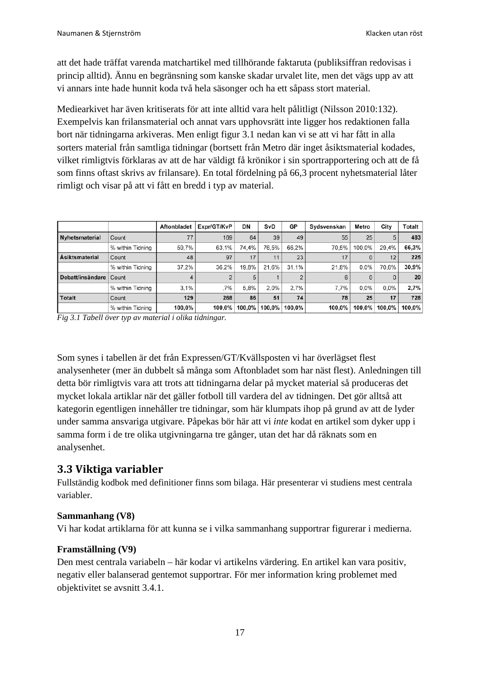att det hade träffat varenda matchartikel med tillhörande faktaruta (publiksiffran redovisas i princip alltid). Ännu en begränsning som kanske skadar urvalet lite, men det vägs upp av att vi annars inte hade hunnit koda två hela säsonger och ha ett såpass stort material.

Mediearkivet har även kritiserats för att inte alltid vara helt pålitligt (Nilsson 2010:132). Exempelvis kan frilansmaterial och annat vars upphovsrätt inte ligger hos redaktionen falla bort när tidningarna arkiveras. Men enligt figur 3.1 nedan kan vi se att vi har fått in alla sorters material från samtliga tidningar (bortsett från Metro där inget åsiktsmaterial kodades, vilket rimligtvis förklaras av att de har väldigt få krönikor i sin sportrapportering och att de få som finns oftast skrivs av frilansare). En total fördelning på 66,3 procent nyhetsmaterial låter rimligt och visar på att vi fått en bredd i typ av material.

|                       |                  | Aftonbladet | Expr/GT/KvP | DN     | SvD       | GР     | Sydsvenskan | Metro   | City      | Totalt |
|-----------------------|------------------|-------------|-------------|--------|-----------|--------|-------------|---------|-----------|--------|
| Nyhetsmaterial        | Count            | 77          | 169         | 64     | 39        | 49     | 55          | 25      | 5         | 483    |
|                       | % within Tidning | 59.7%       | 63.1%       | 74.4%  | 76.5%     | 66.2%  | 70.5%       | 100.0%  | 29.4%     | 66,3%  |
| <b>Asiktsmaterial</b> | Count            | 48          | 97          | 17     | 11        | 23     |             |         | 12        | 225    |
|                       | % within Tidning | 37.2%       | 36.2%       | 19.8%  | 21.6%     | 31.1%  | 21.8%       | $0.0\%$ | 70.6%     | 30,9%  |
| Debatt/insändare      | Count            |             |             | 5      |           |        |             |         |           | 20     |
|                       | % within Tidning | 3.1%        | .7%         | 5.8%   | 2.0%      | 2.7%   | 7.7%        | $0.0\%$ | $0.0\%$   | 2,7%   |
| Totalt                | Count            | 129         | 268         | 86     | 51        | 74     | 78          | 25      | 17        | 728    |
|                       | % within Tidning | 100.0%      | 100.0%      | 100.0% | $100.0\%$ | 100.0% | 100.0%      | 100,0%  | $100.0\%$ | 100.0% |

*Fig 3.1 Tabell över typ av material i olika tidningar.*

Som synes i tabellen är det från Expressen/GT/Kvällsposten vi har överlägset flest analysenheter (mer än dubbelt så många som Aftonbladet som har näst flest). Anledningen till detta bör rimligtvis vara att trots att tidningarna delar på mycket material så produceras det mycket lokala artiklar när det gäller fotboll till vardera del av tidningen. Det gör alltså att kategorin egentligen innehåller tre tidningar, som här klumpats ihop på grund av att de lyder under samma ansvariga utgivare. Påpekas bör här att vi *inte* kodat en artikel som dyker upp i samma form i de tre olika utgivningarna tre gånger, utan det har då räknats som en analysenhet.

#### <span id="page-16-0"></span>**3.3 Viktiga variabler**

Fullständig kodbok med definitioner finns som bilaga. Här presenterar vi studiens mest centrala variabler.

#### **Sammanhang (V8)**

Vi har kodat artiklarna för att kunna se i vilka sammanhang supportrar figurerar i medierna.

#### **Framställning (V9)**

Den mest centrala variabeln – här kodar vi artikelns värdering. En artikel kan vara positiv, negativ eller balanserad gentemot supportrar. För mer information kring problemet med objektivitet se avsnitt 3.4.1.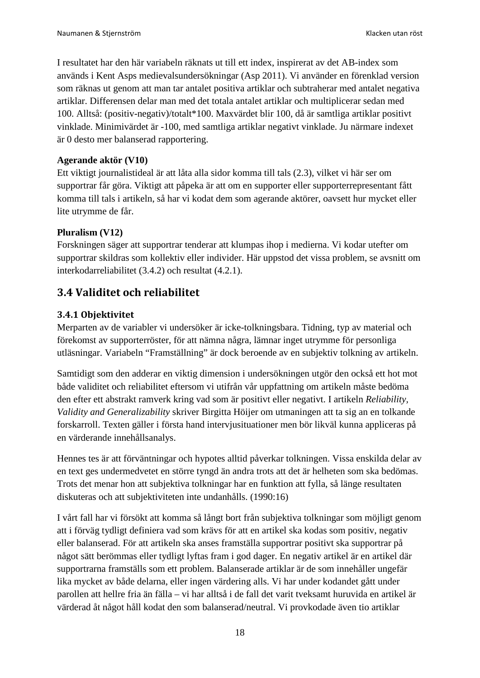I resultatet har den här variabeln räknats ut till ett index, inspirerat av det AB-index som används i Kent Asps medievalsundersökningar (Asp 2011). Vi använder en förenklad version som räknas ut genom att man tar antalet positiva artiklar och subtraherar med antalet negativa artiklar. Differensen delar man med det totala antalet artiklar och multiplicerar sedan med 100. Alltså: (positiv-negativ)/totalt\*100. Maxvärdet blir 100, då är samtliga artiklar positivt vinklade. Minimivärdet är -100, med samtliga artiklar negativt vinklade. Ju närmare indexet är 0 desto mer balanserad rapportering.

#### **Agerande aktör (V10)**

Ett viktigt journalistideal är att låta alla sidor komma till tals (2.3), vilket vi här ser om supportrar får göra. Viktigt att påpeka är att om en supporter eller supporterrepresentant fått komma till tals i artikeln, så har vi kodat dem som agerande aktörer, oavsett hur mycket eller lite utrymme de får.

#### **Pluralism (V12)**

Forskningen säger att supportrar tenderar att klumpas ihop i medierna. Vi kodar utefter om supportrar skildras som kollektiv eller individer. Här uppstod det vissa problem, se avsnitt om interkodarreliabilitet (3.4.2) och resultat (4.2.1).

## <span id="page-17-0"></span>**3.4 Validitet och reliabilitet**

#### <span id="page-17-1"></span>**3.4.1 Objektivitet**

Merparten av de variabler vi undersöker är icke-tolkningsbara. Tidning, typ av material och förekomst av supporterröster, för att nämna några, lämnar inget utrymme för personliga utläsningar. Variabeln "Framställning" är dock beroende av en subjektiv tolkning av artikeln.

Samtidigt som den adderar en viktig dimension i undersökningen utgör den också ett hot mot både validitet och reliabilitet eftersom vi utifrån vår uppfattning om artikeln måste bedöma den efter ett abstrakt ramverk kring vad som är positivt eller negativt. I artikeln *Reliability, Validity and Generalizability* skriver Birgitta Höijer om utmaningen att ta sig an en tolkande forskarroll. Texten gäller i första hand intervjusituationer men bör likväl kunna appliceras på en värderande innehållsanalys.

Hennes tes är att förväntningar och hypotes alltid påverkar tolkningen. Vissa enskilda delar av en text ges undermedvetet en större tyngd än andra trots att det är helheten som ska bedömas. Trots det menar hon att subjektiva tolkningar har en funktion att fylla, så länge resultaten diskuteras och att subjektiviteten inte undanhålls. (1990:16)

I vårt fall har vi försökt att komma så långt bort från subjektiva tolkningar som möjligt genom att i förväg tydligt definiera vad som krävs för att en artikel ska kodas som positiv, negativ eller balanserad. För att artikeln ska anses framställa supportrar positivt ska supportrar på något sätt berömmas eller tydligt lyftas fram i god dager. En negativ artikel är en artikel där supportrarna framställs som ett problem. Balanserade artiklar är de som innehåller ungefär lika mycket av både delarna, eller ingen värdering alls. Vi har under kodandet gått under parollen att hellre fria än fälla – vi har alltså i de fall det varit tveksamt huruvida en artikel är värderad åt något håll kodat den som balanserad/neutral. Vi provkodade även tio artiklar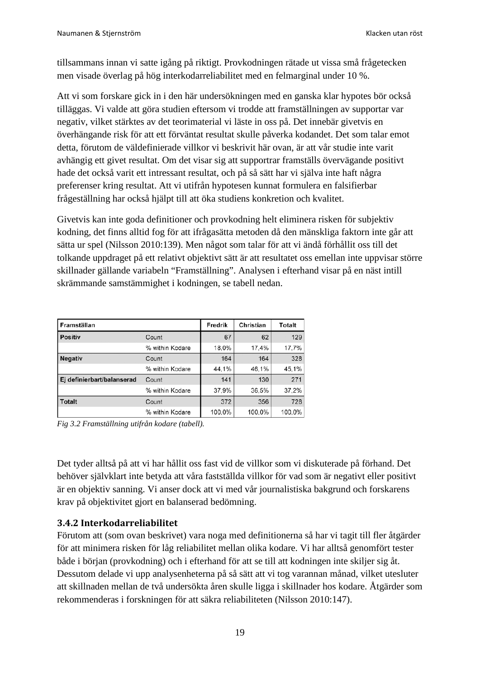tillsammans innan vi satte igång på riktigt. Provkodningen rätade ut vissa små frågetecken men visade överlag på hög interkodarreliabilitet med en felmarginal under 10 %.

Att vi som forskare gick in i den här undersökningen med en ganska klar hypotes bör också tilläggas. Vi valde att göra studien eftersom vi trodde att framställningen av supportar var negativ, vilket stärktes av det teorimaterial vi läste in oss på. Det innebär givetvis en överhängande risk för att ett förväntat resultat skulle påverka kodandet. Det som talar emot detta, förutom de väldefinierade villkor vi beskrivit här ovan, är att vår studie inte varit avhängig ett givet resultat. Om det visar sig att supportrar framställs övervägande positivt hade det också varit ett intressant resultat, och på så sätt har vi själva inte haft några preferenser kring resultat. Att vi utifrån hypotesen kunnat formulera en falsifierbar frågeställning har också hjälpt till att öka studiens konkretion och kvalitet.

Givetvis kan inte goda definitioner och provkodning helt eliminera risken för subjektiv kodning, det finns alltid fog för att ifrågasätta metoden då den mänskliga faktorn inte går att sätta ur spel (Nilsson 2010:139). Men något som talar för att vi ändå förhållit oss till det tolkande uppdraget på ett relativt objektivt sätt är att resultatet oss emellan inte uppvisar större skillnader gällande variabeln "Framställning". Analysen i efterhand visar på en näst intill skrämmande samstämmighet i kodningen, se tabell nedan.

| Framställan                |                 | Fredrik | Christian | <b>Totalt</b> |
|----------------------------|-----------------|---------|-----------|---------------|
| <b>Positiv</b>             | Count           | 67      | 62        | 129           |
|                            | % within Kodare | 18.0%   | 17.4%     | 17.7%         |
| <b>Negativ</b>             | Count           | 164     | 164       | 328           |
|                            | % within Kodare | 44.1%   | 46,1%     | 45.1%         |
| Ej definierbart/balanserad | Count           | 141     | 130       | 271           |
|                            | % within Kodare | 37,9%   | 36.5%     | 37.2%         |
| <b>Totalt</b>              | Count           | 372     | 356       | 728           |
|                            | % within Kodare | 100.0%  | 100,0%    | 100.0%        |

*Fig 3.2 Framställning utifrån kodare (tabell).*

Det tyder alltså på att vi har hållit oss fast vid de villkor som vi diskuterade på förhand. Det behöver självklart inte betyda att våra fastställda villkor för vad som är negativt eller positivt är en objektiv sanning. Vi anser dock att vi med vår journalistiska bakgrund och forskarens krav på objektivitet gjort en balanserad bedömning.

#### <span id="page-18-0"></span>**3.4.2 Interkodarreliabilitet**

Förutom att (som ovan beskrivet) vara noga med definitionerna så har vi tagit till fler åtgärder för att minimera risken för låg reliabilitet mellan olika kodare. Vi har alltså genomfört tester både i början (provkodning) och i efterhand för att se till att kodningen inte skiljer sig åt. Dessutom delade vi upp analysenheterna på så sätt att vi tog varannan månad, vilket utesluter att skillnaden mellan de två undersökta åren skulle ligga i skillnader hos kodare. Åtgärder som rekommenderas i forskningen för att säkra reliabiliteten (Nilsson 2010:147).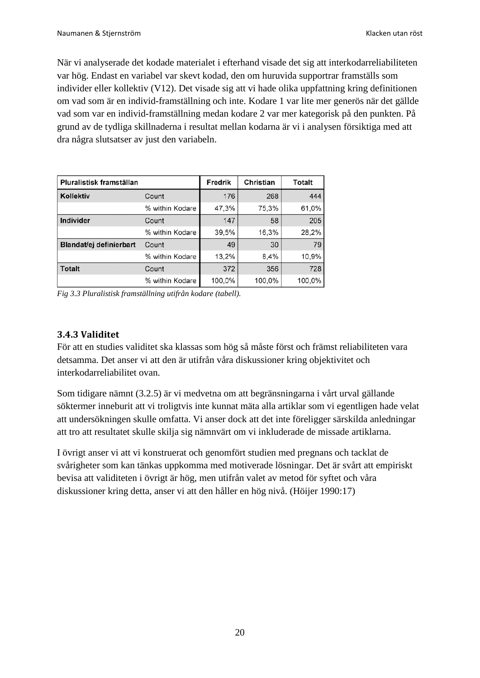När vi analyserade det kodade materialet i efterhand visade det sig att interkodarreliabiliteten var hög. Endast en variabel var skevt kodad, den om huruvida supportrar framställs som individer eller kollektiv (V12). Det visade sig att vi hade olika uppfattning kring definitionen om vad som är en individ-framställning och inte. Kodare 1 var lite mer generös när det gällde vad som var en individ-framställning medan kodare 2 var mer kategorisk på den punkten. På grund av de tydliga skillnaderna i resultat mellan kodarna är vi i analysen försiktiga med att dra några slutsatser av just den variabeln.

| Pluralistisk framställan |                 | Fredrik | Christian | Totalt |
|--------------------------|-----------------|---------|-----------|--------|
| Kollektiv                | Count           | 176     | 268       | 444    |
|                          | % within Kodare | 47,3%   | 75,3%     | 61.0%  |
| Individer<br>Count       |                 | 147     | 58        | 205    |
|                          | % within Kodare | 39.5%   | 16,3%     | 28,2%  |
| Blandat/ej definierbart  | Count           | 49      | 30        | 79     |
|                          | % within Kodare | 13,2%   | 8,4%      | 10,9%  |
| <b>Totalt</b><br>Count   |                 | 372     | 356       | 728    |
|                          | % within Kodare | 100,0%  | 100,0%    | 100,0% |

*Fig 3.3 Pluralistisk framställning utifrån kodare (tabell).*

#### <span id="page-19-0"></span>**3.4.3 Validitet**

För att en studies validitet ska klassas som hög så måste först och främst reliabiliteten vara detsamma. Det anser vi att den är utifrån våra diskussioner kring objektivitet och interkodarreliabilitet ovan.

Som tidigare nämnt (3.2.5) är vi medvetna om att begränsningarna i vårt urval gällande söktermer inneburit att vi troligtvis inte kunnat mäta alla artiklar som vi egentligen hade velat att undersökningen skulle omfatta. Vi anser dock att det inte föreligger särskilda anledningar att tro att resultatet skulle skilja sig nämnvärt om vi inkluderade de missade artiklarna.

I övrigt anser vi att vi konstruerat och genomfört studien med pregnans och tacklat de svårigheter som kan tänkas uppkomma med motiverade lösningar. Det är svårt att empiriskt bevisa att validiteten i övrigt är hög, men utifrån valet av metod för syftet och våra diskussioner kring detta, anser vi att den håller en hög nivå. (Höijer 1990:17)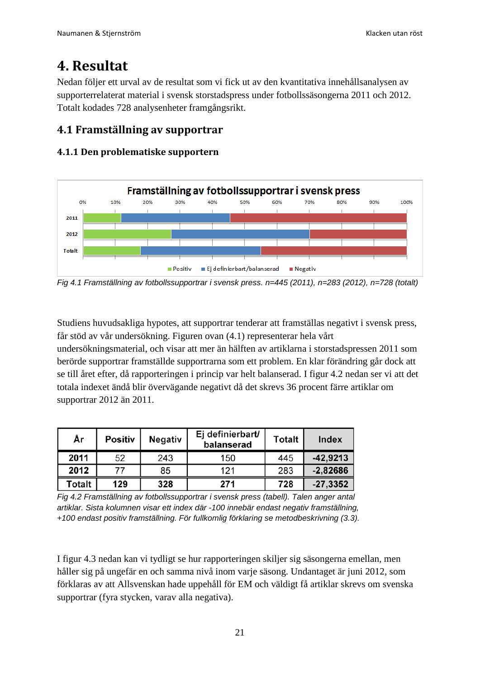# <span id="page-20-0"></span>**4. Resultat**

Nedan följer ett urval av de resultat som vi fick ut av den kvantitativa innehållsanalysen av supporterrelaterat material i svensk storstadspress under fotbollssäsongerna 2011 och 2012. Totalt kodades 728 analysenheter framgångsrikt.

## <span id="page-20-1"></span>**4.1 Framställning av supportrar**

#### <span id="page-20-2"></span>**4.1.1 Den problematiske supportern**



*Fig 4.1 Framställning av fotbollssupportrar i svensk press. n=445 (2011), n=283 (2012), n=728 (totalt)*

Studiens huvudsakliga hypotes, att supportrar tenderar att framställas negativt i svensk press, får stöd av vår undersökning. Figuren ovan (4.1) representerar hela vårt

undersökningsmaterial, och visar att mer än hälften av artiklarna i storstadspressen 2011 som berörde supportrar framställde supportrarna som ett problem. En klar förändring går dock att se till året efter, då rapporteringen i princip var helt balanserad. I figur 4.2 nedan ser vi att det totala indexet ändå blir övervägande negativt då det skrevs 36 procent färre artiklar om supportrar 2012 än 2011.

| År     | Positiv | <b>Negativ</b> | Ej definierbart/<br>balanserad | <b>Totalt</b> | Index      |
|--------|---------|----------------|--------------------------------|---------------|------------|
| 2011   | 52      | 243            | 150                            | 445           | $-42,9213$ |
| 2012   | 77      | 85             | 121                            | 283           | $-2,82686$ |
| Totalt | 129     | 328            | 271                            | 728           | $-27,3352$ |

*Fig 4.2 Framställning av fotbollssupportrar i svensk press (tabell). Talen anger antal artiklar. Sista kolumnen visar ett index där -100 innebär endast negativ framställning, +100 endast positiv framställning. För fullkomlig förklaring se metodbeskrivning (3.3).*

I figur 4.3 nedan kan vi tydligt se hur rapporteringen skiljer sig säsongerna emellan, men håller sig på ungefär en och samma nivå inom varje säsong. Undantaget är juni 2012, som förklaras av att Allsvenskan hade uppehåll för EM och väldigt få artiklar skrevs om svenska supportrar (fyra stycken, varav alla negativa).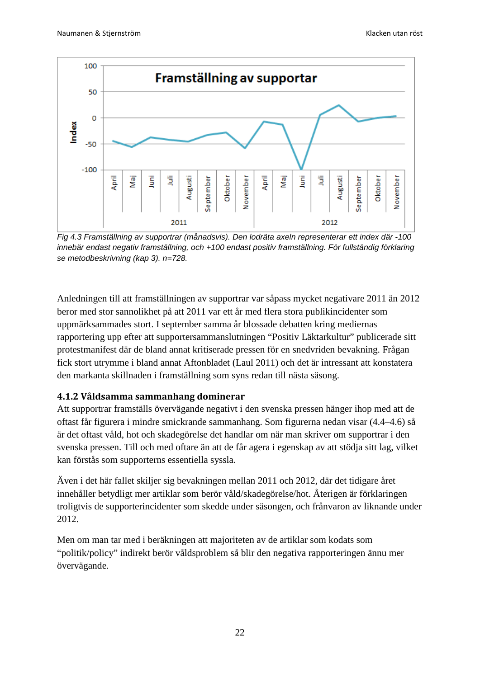

*Fig 4.3 Framställning av supportrar (månadsvis). Den lodräta axeln representerar ett index där -100 innebär endast negativ framställning, och +100 endast positiv framställning. För fullständig förklaring se metodbeskrivning (kap 3). n=728.*

Anledningen till att framställningen av supportrar var såpass mycket negativare 2011 än 2012 beror med stor sannolikhet på att 2011 var ett år med flera stora publikincidenter som uppmärksammades stort. I september samma år blossade debatten kring mediernas rapportering upp efter att supportersammanslutningen "Positiv Läktarkultur" publicerade sitt protestmanifest där de bland annat kritiserade pressen för en snedvriden bevakning. Frågan fick stort utrymme i bland annat Aftonbladet (Laul 2011) och det är intressant att konstatera den markanta skillnaden i framställning som syns redan till nästa säsong.

#### <span id="page-21-0"></span>**4.1.2 Våldsamma sammanhang dominerar**

Att supportrar framställs övervägande negativt i den svenska pressen hänger ihop med att de oftast får figurera i mindre smickrande sammanhang. Som figurerna nedan visar (4.4–4.6) så är det oftast våld, hot och skadegörelse det handlar om när man skriver om supportrar i den svenska pressen. Till och med oftare än att de får agera i egenskap av att stödja sitt lag, vilket kan förstås som supporterns essentiella syssla.

Även i det här fallet skiljer sig bevakningen mellan 2011 och 2012, där det tidigare året innehåller betydligt mer artiklar som berör våld/skadegörelse/hot. Återigen är förklaringen troligtvis de supporterincidenter som skedde under säsongen, och frånvaron av liknande under 2012.

Men om man tar med i beräkningen att majoriteten av de artiklar som kodats som "politik/policy" indirekt berör våldsproblem så blir den negativa rapporteringen ännu mer övervägande.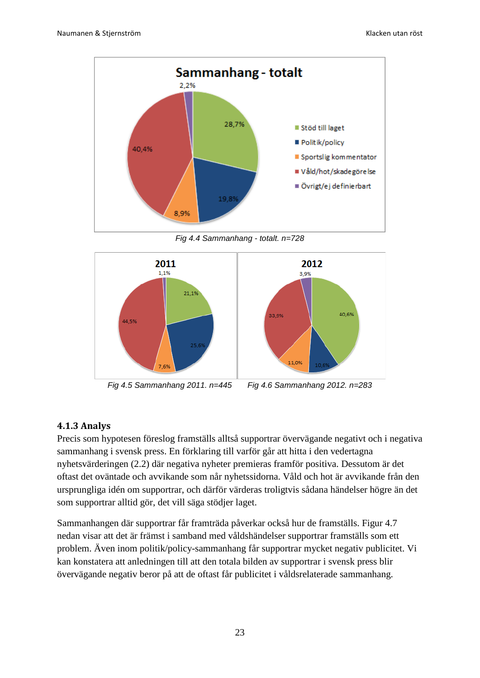

*Fig 4.4 Sammanhang - totalt. n=728*



*Fig 4.5 Sammanhang 2011. n=445 Fig 4.6 Sammanhang 2012. n=283*

#### <span id="page-22-0"></span>**4.1.3 Analys**

Precis som hypotesen föreslog framställs alltså supportrar övervägande negativt och i negativa sammanhang i svensk press. En förklaring till varför går att hitta i den vedertagna nyhetsvärderingen (2.2) där negativa nyheter premieras framför positiva. Dessutom är det oftast det oväntade och avvikande som når nyhetssidorna. Våld och hot är avvikande från den ursprungliga idén om supportrar, och därför värderas troligtvis sådana händelser högre än det som supportrar alltid gör, det vill säga stödjer laget.

Sammanhangen där supportrar får framträda påverkar också hur de framställs. Figur 4.7 nedan visar att det är främst i samband med våldshändelser supportrar framställs som ett problem. Även inom politik/policy-sammanhang får supportrar mycket negativ publicitet. Vi kan konstatera att anledningen till att den totala bilden av supportrar i svensk press blir övervägande negativ beror på att de oftast får publicitet i våldsrelaterade sammanhang.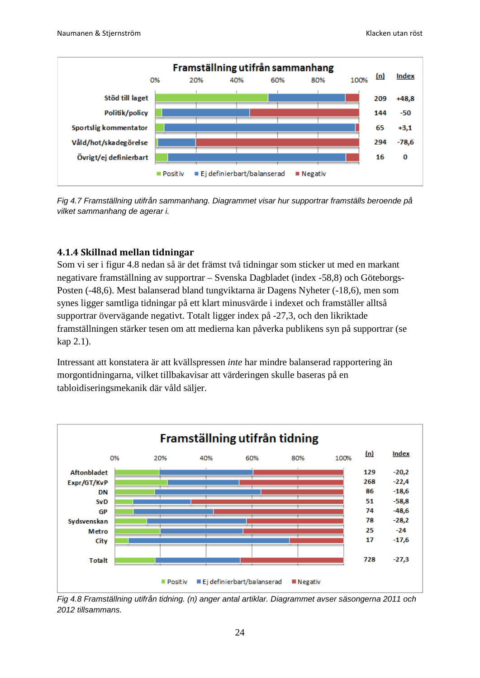

*Fig 4.7 Framställning utifrån sammanhang. Diagrammet visar hur supportrar framställs beroende på vilket sammanhang de agerar i.*

#### <span id="page-23-0"></span>**4.1.4 Skillnad mellan tidningar**

Som vi ser i figur 4.8 nedan så är det främst två tidningar som sticker ut med en markant negativare framställning av supportrar – Svenska Dagbladet (index -58,8) och Göteborgs-Posten (-48,6). Mest balanserad bland tungviktarna är Dagens Nyheter (-18,6), men som synes ligger samtliga tidningar på ett klart minusvärde i indexet och framställer alltså supportrar övervägande negativt. Totalt ligger index på -27,3, och den likriktade framställningen stärker tesen om att medierna kan påverka publikens syn på supportrar (se kap 2.1).

Intressant att konstatera är att kvällspressen *inte* har mindre balanserad rapportering än morgontidningarna, vilket tillbakavisar att värderingen skulle baseras på en tabloidiseringsmekanik där våld säljer.



*Fig 4.8 Framställning utifrån tidning. (n) anger antal artiklar. Diagrammet avser säsongerna 2011 och 2012 tillsammans.*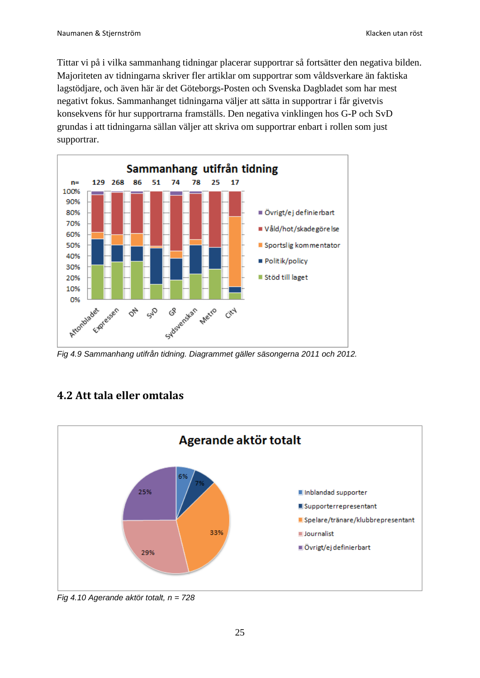Tittar vi på i vilka sammanhang tidningar placerar supportrar så fortsätter den negativa bilden. Majoriteten av tidningarna skriver fler artiklar om supportrar som våldsverkare än faktiska lagstödjare, och även här är det Göteborgs-Posten och Svenska Dagbladet som har mest negativt fokus. Sammanhanget tidningarna väljer att sätta in supportrar i får givetvis konsekvens för hur supportrarna framställs. Den negativa vinklingen hos G-P och SvD grundas i att tidningarna sällan väljer att skriva om supportrar enbart i rollen som just supportrar.



*Fig 4.9 Sammanhang utifrån tidning. Diagrammet gäller säsongerna 2011 och 2012.*

# <span id="page-24-0"></span>**4.2 Att tala eller omtalas**



*Fig 4.10 Agerande aktör totalt, n = 728*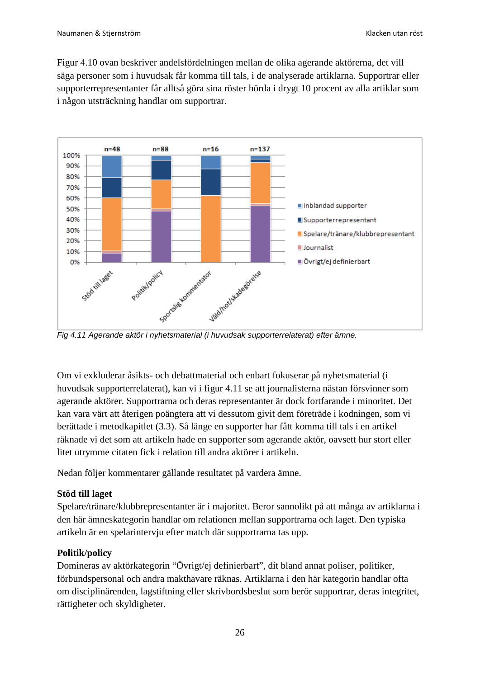Figur 4.10 ovan beskriver andelsfördelningen mellan de olika agerande aktörerna, det vill säga personer som i huvudsak får komma till tals, i de analyserade artiklarna. Supportrar eller supporterrepresentanter får alltså göra sina röster hörda i drygt 10 procent av alla artiklar som i någon utsträckning handlar om supportrar.



*Fig 4.11 Agerande aktör i nyhetsmaterial (i huvudsak supporterrelaterat) efter ämne.*

Om vi exkluderar åsikts- och debattmaterial och enbart fokuserar på nyhetsmaterial (i huvudsak supporterrelaterat), kan vi i figur 4.11 se att journalisterna nästan försvinner som agerande aktörer. Supportrarna och deras representanter är dock fortfarande i minoritet. Det kan vara värt att återigen poängtera att vi dessutom givit dem företräde i kodningen, som vi berättade i metodkapitlet (3.3). Så länge en supporter har fått komma till tals i en artikel räknade vi det som att artikeln hade en supporter som agerande aktör, oavsett hur stort eller litet utrymme citaten fick i relation till andra aktörer i artikeln.

Nedan följer kommentarer gällande resultatet på vardera ämne.

#### **Stöd till laget**

Spelare/tränare/klubbrepresentanter är i majoritet. Beror sannolikt på att många av artiklarna i den här ämneskategorin handlar om relationen mellan supportrarna och laget. Den typiska artikeln är en spelarintervju efter match där supportrarna tas upp.

#### **Politik/policy**

Domineras av aktörkategorin "Övrigt/ej definierbart", dit bland annat poliser, politiker, förbundspersonal och andra makthavare räknas. Artiklarna i den här kategorin handlar ofta om disciplinärenden, lagstiftning eller skrivbordsbeslut som berör supportrar, deras integritet, rättigheter och skyldigheter.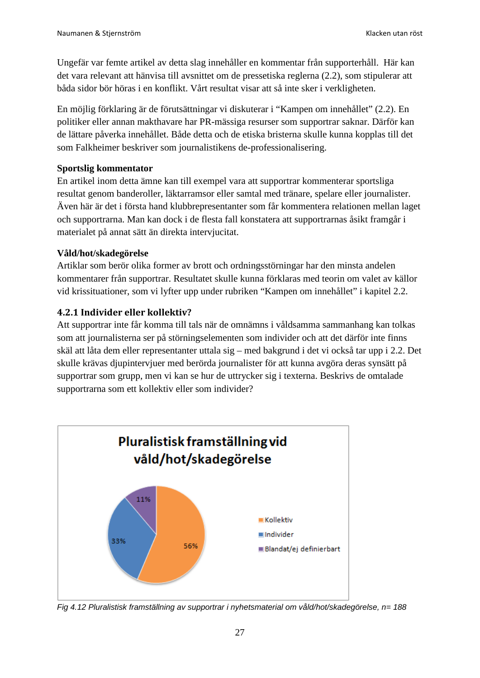Ungefär var femte artikel av detta slag innehåller en kommentar från supporterhåll. Här kan det vara relevant att hänvisa till avsnittet om de pressetiska reglerna (2.2), som stipulerar att båda sidor bör höras i en konflikt. Vårt resultat visar att så inte sker i verkligheten.

En möjlig förklaring är de förutsättningar vi diskuterar i "Kampen om innehållet" (2.2). En politiker eller annan makthavare har PR-mässiga resurser som supportrar saknar. Därför kan de lättare påverka innehållet. Både detta och de etiska bristerna skulle kunna kopplas till det som Falkheimer beskriver som journalistikens de-professionalisering.

#### **Sportslig kommentator**

En artikel inom detta ämne kan till exempel vara att supportrar kommenterar sportsliga resultat genom banderoller, läktarramsor eller samtal med tränare, spelare eller journalister. Även här är det i första hand klubbrepresentanter som får kommentera relationen mellan laget och supportrarna. Man kan dock i de flesta fall konstatera att supportrarnas åsikt framgår i materialet på annat sätt än direkta intervjucitat.

#### **Våld/hot/skadegörelse**

Artiklar som berör olika former av brott och ordningsstörningar har den minsta andelen kommentarer från supportrar. Resultatet skulle kunna förklaras med teorin om valet av källor vid krissituationer, som vi lyfter upp under rubriken "Kampen om innehållet" i kapitel 2.2.

#### <span id="page-26-0"></span>**4.2.1 Individer eller kollektiv?**

Att supportrar inte får komma till tals när de omnämns i våldsamma sammanhang kan tolkas som att journalisterna ser på störningselementen som individer och att det därför inte finns skäl att låta dem eller representanter uttala sig – med bakgrund i det vi också tar upp i 2.2. Det skulle krävas djupintervjuer med berörda journalister för att kunna avgöra deras synsätt på supportrar som grupp, men vi kan se hur de uttrycker sig i texterna. Beskrivs de omtalade supportrarna som ett kollektiv eller som individer?



*Fig 4.12 Pluralistisk framställning av supportrar i nyhetsmaterial om våld/hot/skadegörelse, n= 188*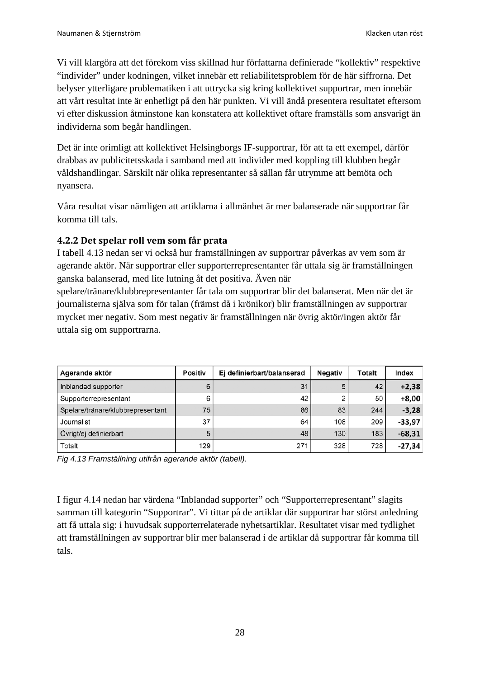Vi vill klargöra att det förekom viss skillnad hur författarna definierade "kollektiv" respektive "individer" under kodningen, vilket innebär ett reliabilitetsproblem för de här siffrorna. Det belyser ytterligare problematiken i att uttrycka sig kring kollektivet supportrar, men innebär att vårt resultat inte är enhetligt på den här punkten. Vi vill ändå presentera resultatet eftersom vi efter diskussion åtminstone kan konstatera att kollektivet oftare framställs som ansvarigt än individerna som begår handlingen.

Det är inte orimligt att kollektivet Helsingborgs IF-supportrar, för att ta ett exempel, därför drabbas av publicitetsskada i samband med att individer med koppling till klubben begår våldshandlingar. Särskilt när olika representanter så sällan får utrymme att bemöta och nyansera.

Våra resultat visar nämligen att artiklarna i allmänhet är mer balanserade när supportrar får komma till tals.

#### <span id="page-27-0"></span>**4.2.2 Det spelar roll vem som får prata**

I tabell 4.13 nedan ser vi också hur framställningen av supportrar påverkas av vem som är agerande aktör. När supportrar eller supporterrepresentanter får uttala sig är framställningen ganska balanserad, med lite lutning åt det positiva. Även när

spelare/tränare/klubbrepresentanter får tala om supportrar blir det balanserat. Men när det är journalisterna själva som för talan (främst då i krönikor) blir framställningen av supportrar mycket mer negativ. Som mest negativ är framställningen när övrig aktör/ingen aktör får uttala sig om supportrarna.

| Agerande aktör                    | Positiv | Ej definierbart/balanserad | <b>Negativ</b> | Totalt | Index    |
|-----------------------------------|---------|----------------------------|----------------|--------|----------|
| Inblandad supporter               | 6       | 31                         | 5              | 42     | $+2,38$  |
| Supporterrepresentant             | 6       | 42                         | 2              | 50     | $+8,00$  |
| Spelare/tränare/klubbrepresentant | 75      | 86                         | 83             | 244    | $-3,28$  |
| Journalist                        | 37      | 64                         | 108            | 209    | $-33,97$ |
| Övrigt/ej definierbart            | 5       | 48                         | 130            | 183    | $-68,31$ |
| Totalt                            | 129     | 271                        | 328            | 728    | $-27,34$ |

*Fig 4.13 Framställning utifrån agerande aktör (tabell).*

I figur 4.14 nedan har värdena "Inblandad supporter" och "Supporterrepresentant" slagits samman till kategorin "Supportrar". Vi tittar på de artiklar där supportrar har störst anledning att få uttala sig: i huvudsak supporterrelaterade nyhetsartiklar. Resultatet visar med tydlighet att framställningen av supportrar blir mer balanserad i de artiklar då supportrar får komma till tals.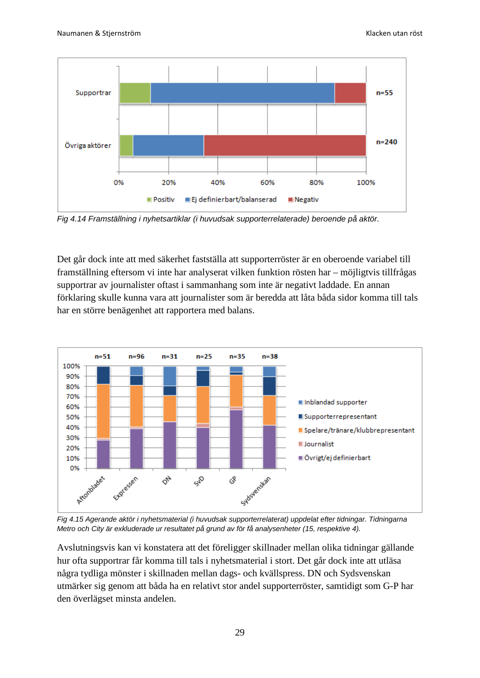

*Fig 4.14 Framställning i nyhetsartiklar (i huvudsak supporterrelaterade) beroende på aktör.*

Det går dock inte att med säkerhet fastställa att supporterröster är en oberoende variabel till framställning eftersom vi inte har analyserat vilken funktion rösten har – möjligtvis tillfrågas supportrar av journalister oftast i sammanhang som inte är negativt laddade. En annan förklaring skulle kunna vara att journalister som är beredda att låta båda sidor komma till tals har en större benägenhet att rapportera med balans.



*Fig 4.15 Agerande aktör i nyhetsmaterial (i huvudsak supporterrelaterat) uppdelat efter tidningar. Tidningarna Metro och City är exkluderade ur resultatet på grund av för få analysenheter (15, respektive 4).*

Avslutningsvis kan vi konstatera att det föreligger skillnader mellan olika tidningar gällande hur ofta supportrar får komma till tals i nyhetsmaterial i stort. Det går dock inte att utläsa några tydliga mönster i skillnaden mellan dags- och kvällspress. DN och Sydsvenskan utmärker sig genom att båda ha en relativt stor andel supporterröster, samtidigt som G-P har den överlägset minsta andelen.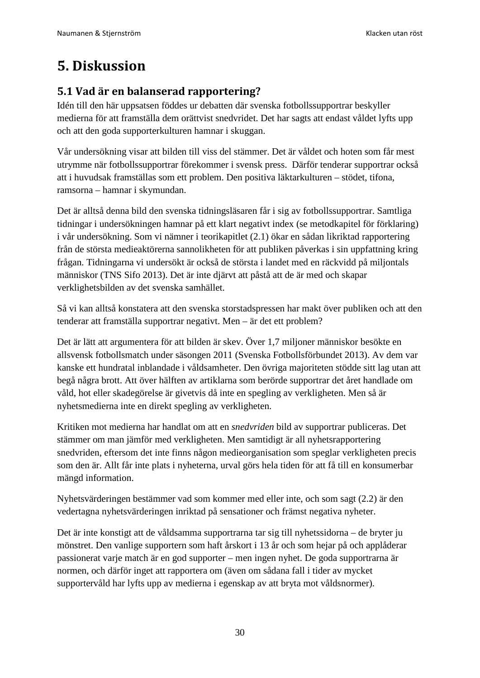# <span id="page-29-0"></span>**5. Diskussion**

# <span id="page-29-1"></span>**5.1 Vad är en balanserad rapportering?**

Idén till den här uppsatsen föddes ur debatten där svenska fotbollssupportrar beskyller medierna för att framställa dem orättvist snedvridet. Det har sagts att endast våldet lyfts upp och att den goda supporterkulturen hamnar i skuggan.

Vår undersökning visar att bilden till viss del stämmer. Det är våldet och hoten som får mest utrymme när fotbollssupportrar förekommer i svensk press. Därför tenderar supportrar också att i huvudsak framställas som ett problem. Den positiva läktarkulturen – stödet, tifona, ramsorna – hamnar i skymundan.

Det är alltså denna bild den svenska tidningsläsaren får i sig av fotbollssupportrar. Samtliga tidningar i undersökningen hamnar på ett klart negativt index (se metodkapitel för förklaring) i vår undersökning. Som vi nämner i teorikapitlet (2.1) ökar en sådan likriktad rapportering från de största medieaktörerna sannolikheten för att publiken påverkas i sin uppfattning kring frågan. Tidningarna vi undersökt är också de största i landet med en räckvidd på miljontals människor (TNS Sifo 2013). Det är inte djärvt att påstå att de är med och skapar verklighetsbilden av det svenska samhället.

Så vi kan alltså konstatera att den svenska storstadspressen har makt över publiken och att den tenderar att framställa supportrar negativt. Men – är det ett problem?

Det är lätt att argumentera för att bilden är skev. Över 1,7 miljoner människor besökte en allsvensk fotbollsmatch under säsongen 2011 (Svenska Fotbollsförbundet 2013). Av dem var kanske ett hundratal inblandade i våldsamheter. Den övriga majoriteten stödde sitt lag utan att begå några brott. Att över hälften av artiklarna som berörde supportrar det året handlade om våld, hot eller skadegörelse är givetvis då inte en spegling av verkligheten. Men så är nyhetsmedierna inte en direkt spegling av verkligheten.

Kritiken mot medierna har handlat om att en *snedvriden* bild av supportrar publiceras. Det stämmer om man jämför med verkligheten. Men samtidigt är all nyhetsrapportering snedvriden, eftersom det inte finns någon medieorganisation som speglar verkligheten precis som den är. Allt får inte plats i nyheterna, urval görs hela tiden för att få till en konsumerbar mängd information.

Nyhetsvärderingen bestämmer vad som kommer med eller inte, och som sagt (2.2) är den vedertagna nyhetsvärderingen inriktad på sensationer och främst negativa nyheter.

Det är inte konstigt att de våldsamma supportrarna tar sig till nyhetssidorna – de bryter ju mönstret. Den vanlige supportern som haft årskort i 13 år och som hejar på och applåderar passionerat varje match är en god supporter – men ingen nyhet. De goda supportrarna är normen, och därför inget att rapportera om (även om sådana fall i tider av mycket supportervåld har lyfts upp av medierna i egenskap av att bryta mot våldsnormer).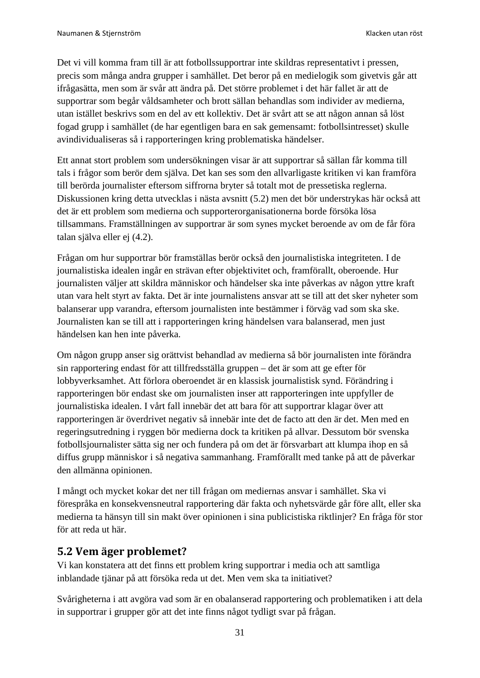Det vi vill komma fram till är att fotbollssupportrar inte skildras representativt i pressen, precis som många andra grupper i samhället. Det beror på en medielogik som givetvis går att ifrågasätta, men som är svår att ändra på. Det större problemet i det här fallet är att de supportrar som begår våldsamheter och brott sällan behandlas som individer av medierna, utan istället beskrivs som en del av ett kollektiv. Det är svårt att se att någon annan så löst fogad grupp i samhället (de har egentligen bara en sak gemensamt: fotbollsintresset) skulle avindividualiseras så i rapporteringen kring problematiska händelser.

Ett annat stort problem som undersökningen visar är att supportrar så sällan får komma till tals i frågor som berör dem själva. Det kan ses som den allvarligaste kritiken vi kan framföra till berörda journalister eftersom siffrorna bryter så totalt mot de pressetiska reglerna. Diskussionen kring detta utvecklas i nästa avsnitt (5.2) men det bör understrykas här också att det är ett problem som medierna och supporterorganisationerna borde försöka lösa tillsammans. Framställningen av supportrar är som synes mycket beroende av om de får föra talan själva eller ej (4.2).

Frågan om hur supportrar bör framställas berör också den journalistiska integriteten. I de journalistiska idealen ingår en strävan efter objektivitet och, framförallt, oberoende. Hur journalisten väljer att skildra människor och händelser ska inte påverkas av någon yttre kraft utan vara helt styrt av fakta. Det är inte journalistens ansvar att se till att det sker nyheter som balanserar upp varandra, eftersom journalisten inte bestämmer i förväg vad som ska ske. Journalisten kan se till att i rapporteringen kring händelsen vara balanserad, men just händelsen kan hen inte påverka.

Om någon grupp anser sig orättvist behandlad av medierna så bör journalisten inte förändra sin rapportering endast för att tillfredsställa gruppen – det är som att ge efter för lobbyverksamhet. Att förlora oberoendet är en klassisk journalistisk synd. Förändring i rapporteringen bör endast ske om journalisten inser att rapporteringen inte uppfyller de journalistiska idealen. I vårt fall innebär det att bara för att supportrar klagar över att rapporteringen är överdrivet negativ så innebär inte det de facto att den är det. Men med en regeringsutredning i ryggen bör medierna dock ta kritiken på allvar. Dessutom bör svenska fotbollsjournalister sätta sig ner och fundera på om det är försvarbart att klumpa ihop en så diffus grupp människor i så negativa sammanhang. Framförallt med tanke på att de påverkar den allmänna opinionen.

I mångt och mycket kokar det ner till frågan om mediernas ansvar i samhället. Ska vi förespråka en konsekvensneutral rapportering där fakta och nyhetsvärde går före allt, eller ska medierna ta hänsyn till sin makt över opinionen i sina publicistiska riktlinjer? En fråga för stor för att reda ut här.

## <span id="page-30-0"></span>**5.2 Vem äger problemet?**

Vi kan konstatera att det finns ett problem kring supportrar i media och att samtliga inblandade tjänar på att försöka reda ut det. Men vem ska ta initiativet?

Svårigheterna i att avgöra vad som är en obalanserad rapportering och problematiken i att dela in supportrar i grupper gör att det inte finns något tydligt svar på frågan.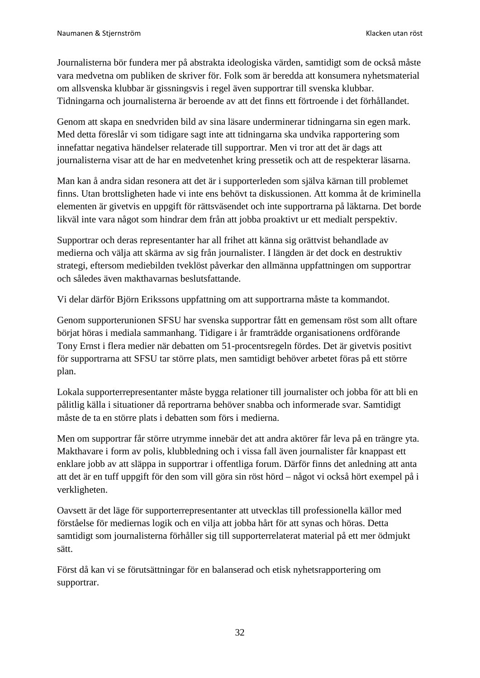Journalisterna bör fundera mer på abstrakta ideologiska värden, samtidigt som de också måste vara medvetna om publiken de skriver för. Folk som är beredda att konsumera nyhetsmaterial om allsvenska klubbar är gissningsvis i regel även supportrar till svenska klubbar. Tidningarna och journalisterna är beroende av att det finns ett förtroende i det förhållandet.

Genom att skapa en snedvriden bild av sina läsare underminerar tidningarna sin egen mark. Med detta föreslår vi som tidigare sagt inte att tidningarna ska undvika rapportering som innefattar negativa händelser relaterade till supportrar. Men vi tror att det är dags att journalisterna visar att de har en medvetenhet kring pressetik och att de respekterar läsarna.

Man kan å andra sidan resonera att det är i supporterleden som själva kärnan till problemet finns. Utan brottsligheten hade vi inte ens behövt ta diskussionen. Att komma åt de kriminella elementen är givetvis en uppgift för rättsväsendet och inte supportrarna på läktarna. Det borde likväl inte vara något som hindrar dem från att jobba proaktivt ur ett medialt perspektiv.

Supportrar och deras representanter har all frihet att känna sig orättvist behandlade av medierna och välja att skärma av sig från journalister. I längden är det dock en destruktiv strategi, eftersom mediebilden tveklöst påverkar den allmänna uppfattningen om supportrar och således även makthavarnas beslutsfattande.

Vi delar därför Björn Erikssons uppfattning om att supportrarna måste ta kommandot.

Genom supporterunionen SFSU har svenska supportrar fått en gemensam röst som allt oftare börjat höras i mediala sammanhang. Tidigare i år framträdde organisationens ordförande Tony Ernst i flera medier när debatten om 51-procentsregeln fördes. Det är givetvis positivt för supportrarna att SFSU tar större plats, men samtidigt behöver arbetet föras på ett större plan.

Lokala supporterrepresentanter måste bygga relationer till journalister och jobba för att bli en pålitlig källa i situationer då reportrarna behöver snabba och informerade svar. Samtidigt måste de ta en större plats i debatten som förs i medierna.

Men om supportrar får större utrymme innebär det att andra aktörer får leva på en trängre yta. Makthavare i form av polis, klubbledning och i vissa fall även journalister får knappast ett enklare jobb av att släppa in supportrar i offentliga forum. Därför finns det anledning att anta att det är en tuff uppgift för den som vill göra sin röst hörd – något vi också hört exempel på i verkligheten.

Oavsett är det läge för supporterrepresentanter att utvecklas till professionella källor med förståelse för mediernas logik och en vilja att jobba hårt för att synas och höras. Detta samtidigt som journalisterna förhåller sig till supporterrelaterat material på ett mer ödmjukt sätt.

Först då kan vi se förutsättningar för en balanserad och etisk nyhetsrapportering om supportrar.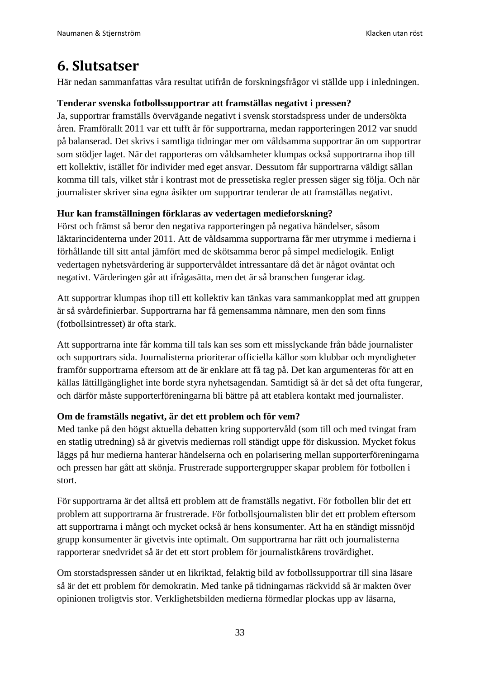# <span id="page-32-0"></span>**6. Slutsatser**

Här nedan sammanfattas våra resultat utifrån de forskningsfrågor vi ställde upp i inledningen.

#### **Tenderar svenska fotbollssupportrar att framställas negativt i pressen?**

Ja, supportrar framställs övervägande negativt i svensk storstadspress under de undersökta åren. Framförallt 2011 var ett tufft år för supportrarna, medan rapporteringen 2012 var snudd på balanserad. Det skrivs i samtliga tidningar mer om våldsamma supportrar än om supportrar som stödjer laget. När det rapporteras om våldsamheter klumpas också supportrarna ihop till ett kollektiv, istället för individer med eget ansvar. Dessutom får supportrarna väldigt sällan komma till tals, vilket står i kontrast mot de pressetiska regler pressen säger sig följa. Och när journalister skriver sina egna åsikter om supportrar tenderar de att framställas negativt.

#### **Hur kan framställningen förklaras av vedertagen medieforskning?**

Först och främst så beror den negativa rapporteringen på negativa händelser, såsom läktarincidenterna under 2011. Att de våldsamma supportrarna får mer utrymme i medierna i förhållande till sitt antal jämfört med de skötsamma beror på simpel medielogik. Enligt vedertagen nyhetsvärdering är supportervåldet intressantare då det är något oväntat och negativt. Värderingen går att ifrågasätta, men det är så branschen fungerar idag.

Att supportrar klumpas ihop till ett kollektiv kan tänkas vara sammankopplat med att gruppen är så svårdefinierbar. Supportrarna har få gemensamma nämnare, men den som finns (fotbollsintresset) är ofta stark.

Att supportrarna inte får komma till tals kan ses som ett misslyckande från både journalister och supportrars sida. Journalisterna prioriterar officiella källor som klubbar och myndigheter framför supportrarna eftersom att de är enklare att få tag på. Det kan argumenteras för att en källas lättillgänglighet inte borde styra nyhetsagendan. Samtidigt så är det så det ofta fungerar, och därför måste supporterföreningarna bli bättre på att etablera kontakt med journalister.

#### **Om de framställs negativt, är det ett problem och för vem?**

Med tanke på den högst aktuella debatten kring supportervåld (som till och med tvingat fram en statlig utredning) så är givetvis mediernas roll ständigt uppe för diskussion. Mycket fokus läggs på hur medierna hanterar händelserna och en polarisering mellan supporterföreningarna och pressen har gått att skönja. Frustrerade supportergrupper skapar problem för fotbollen i stort.

För supportrarna är det alltså ett problem att de framställs negativt. För fotbollen blir det ett problem att supportrarna är frustrerade. För fotbollsjournalisten blir det ett problem eftersom att supportrarna i mångt och mycket också är hens konsumenter. Att ha en ständigt missnöjd grupp konsumenter är givetvis inte optimalt. Om supportrarna har rätt och journalisterna rapporterar snedvridet så är det ett stort problem för journalistkårens trovärdighet.

Om storstadspressen sänder ut en likriktad, felaktig bild av fotbollssupportrar till sina läsare så är det ett problem för demokratin. Med tanke på tidningarnas räckvidd så är makten över opinionen troligtvis stor. Verklighetsbilden medierna förmedlar plockas upp av läsarna,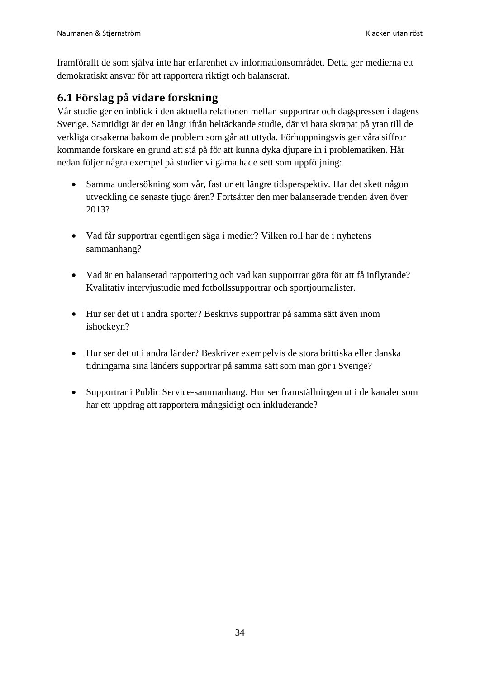framförallt de som själva inte har erfarenhet av informationsområdet. Detta ger medierna ett demokratiskt ansvar för att rapportera riktigt och balanserat.

## <span id="page-33-0"></span>**6.1 Förslag på vidare forskning**

Vår studie ger en inblick i den aktuella relationen mellan supportrar och dagspressen i dagens Sverige. Samtidigt är det en långt ifrån heltäckande studie, där vi bara skrapat på ytan till de verkliga orsakerna bakom de problem som går att uttyda. Förhoppningsvis ger våra siffror kommande forskare en grund att stå på för att kunna dyka djupare in i problematiken. Här nedan följer några exempel på studier vi gärna hade sett som uppföljning:

- Samma undersökning som vår, fast ur ett längre tidsperspektiv. Har det skett någon utveckling de senaste tjugo åren? Fortsätter den mer balanserade trenden även över 2013?
- Vad får supportrar egentligen säga i medier? Vilken roll har de i nyhetens sammanhang?
- Vad är en balanserad rapportering och vad kan supportrar göra för att få inflytande? Kvalitativ intervjustudie med fotbollssupportrar och sportjournalister.
- Hur ser det ut i andra sporter? Beskrivs supportrar på samma sätt även inom ishockeyn?
- Hur ser det ut i andra länder? Beskriver exempelvis de stora brittiska eller danska tidningarna sina länders supportrar på samma sätt som man gör i Sverige?
- Supportrar i Public Service-sammanhang. Hur ser framställningen ut i de kanaler som har ett uppdrag att rapportera mångsidigt och inkluderande?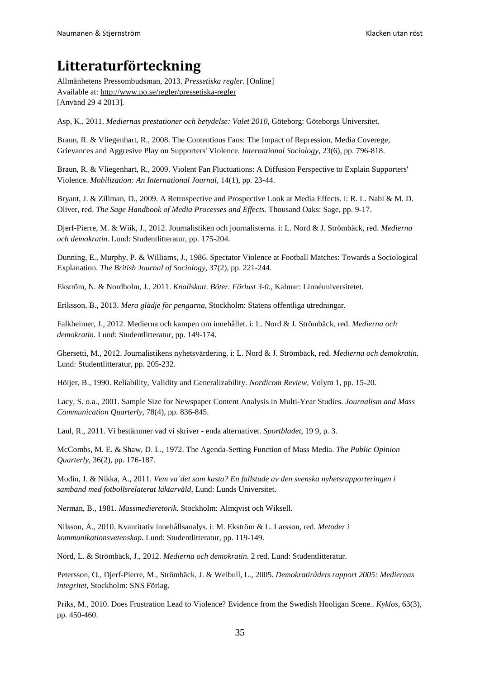# <span id="page-34-0"></span>**Litteraturförteckning**

Allmänhetens Pressombudsman, 2013. *Pressetiska regler.* [Online] Available at: http://www.po.se/regler/pressetiska-regler [Använd 29 4 2013].

Asp, K., 2011. *Mediernas prestationer och betydelse: Valet 2010,* Göteborg: Göteborgs Universitet.

Braun, R. & Vliegenhart, R., 2008. The Contentious Fans: The Impact of Repression, Media Coverege, Grievances and Aggresive Play on Supporters' Violence. *International Sociology,* 23(6), pp. 796-818.

Braun, R. & Vliegenhart, R., 2009. Violent Fan Fluctuations: A Diffusion Perspective to Explain Supporters' Violence. *Mobilization: An International Journal,* 14(1), pp. 23-44.

Bryant, J. & Zillman, D., 2009. A Retrospective and Prospective Look at Media Effects. i: R. L. Nabi & M. D. Oliver, red. *The Sage Handbook of Media Processes and Effects.* Thousand Oaks: Sage, pp. 9-17.

Djerf-Pierre, M. & Wiik, J., 2012. Journalistiken och journalisterna. i: L. Nord & J. Strömbäck, red. *Medierna och demokratin.* Lund: Studentlitteratur, pp. 175-204.

Dunning, E., Murphy, P. & Williams, J., 1986. Spectator Violence at Football Matches: Towards a Sociological Explanation. *The British Journal of Sociology,* 37(2), pp. 221-244.

Ekström, N. & Nordholm, J., 2011. *Knallskott. Böter. Förlust 3-0.,* Kalmar: Linnéuniversitetet.

Eriksson, B., 2013. *Mera glädje för pengarna,* Stockholm: Statens offentliga utredningar.

Falkheimer, J., 2012. Medierna och kampen om innehållet. i: L. Nord & J. Strömbäck, red. *Medierna och demokratin.* Lund: Studentlitteratur, pp. 149-174.

Ghersetti, M., 2012. Journalistikens nyhetsvärdering. i: L. Nord & J. Strömbäck, red. *Medierna och demokratin.*  Lund: Studentlitteratur, pp. 205-232.

Höijer, B., 1990. Reliability, Validity and Generalizability. *Nordicom Review,* Volym 1, pp. 15-20.

Lacy, S. o.a., 2001. Sample Size for Newspaper Content Analysis in Multi-Year Studies. *Journalism and Mass Communication Quarterly,* 78(4), pp. 836-845.

Laul, R., 2011. Vi bestämmer vad vi skriver - enda alternativet. *Sportbladet*, 19 9, p. 3.

McCombs, M. E. & Shaw, D. L., 1972. The Agenda-Setting Function of Mass Media. *The Public Opinion Quarterly,* 36(2), pp. 176-187.

Modin, J. & Nikka, A., 2011. *Vem va´det som kasta? En fallstude av den svenska nyhetsrapporteringen i samband med fotbollsrelaterat läktarvåld,* Lund: Lunds Universitet.

Nerman, B., 1981. *Massmedieretorik.* Stockholm: Almqvist och Wiksell.

Nilsson, Å., 2010. Kvantitativ innehållsanalys. i: M. Ekström & L. Larsson, red. *Metoder i kommunikationsvetenskap.* Lund: Studentlitteratur, pp. 119-149.

Nord, L. & Strömbäck, J., 2012. *Medierna och demokratin.* 2 red. Lund: Studentlitteratur.

Petersson, O., Djerf-Pierre, M., Strömbäck, J. & Weibull, L., 2005. *Demokratirådets rapport 2005: Mediernas integritet,* Stockholm: SNS Förlag.

Priks, M., 2010. Does Frustration Lead to Violence? Evidence from the Swedish Hooligan Scene.. *Kyklos,* 63(3), pp. 450-460.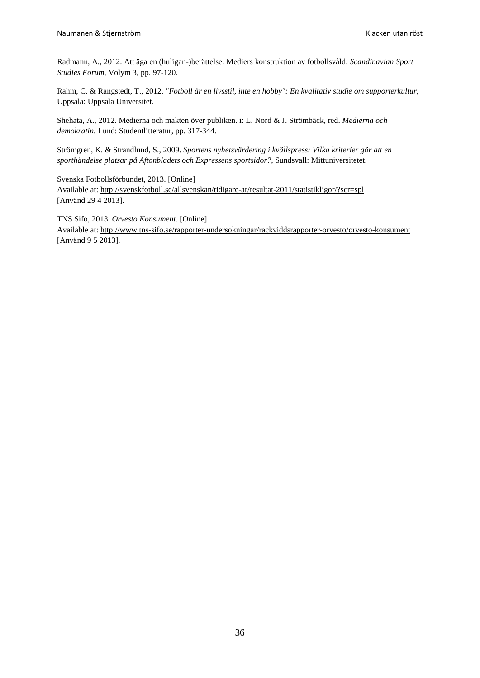Radmann, A., 2012. Att äga en (huligan-)berättelse: Mediers konstruktion av fotbollsvåld. *Scandinavian Sport Studies Forum,* Volym 3, pp. 97-120.

Rahm, C. & Rangstedt, T., 2012. *"Fotboll är en livsstil, inte en hobby": En kvalitativ studie om supporterkultur,*  Uppsala: Uppsala Universitet.

Shehata, A., 2012. Medierna och makten över publiken. i: L. Nord & J. Strömbäck, red. *Medierna och demokratin.* Lund: Studentlitteratur, pp. 317-344.

Strömgren, K. & Strandlund, S., 2009. *Sportens nyhetsvärdering i kvällspress: Vilka kriterier gör att en sporthändelse platsar på Aftonbladets och Expressens sportsidor?,* Sundsvall: Mittuniversitetet.

Svenska Fotbollsförbundet, 2013. [Online] Available at: http://svenskfotboll.se/allsvenskan/tidigare-ar/resultat-2011/statistikligor/?scr=spl [Använd 29 4 2013].

TNS Sifo, 2013. *Orvesto Konsument.* [Online] Available at: http://www.tns-sifo.se/rapporter-undersokningar/rackviddsrapporter-orvesto/orvesto-konsument [Använd 9 5 2013].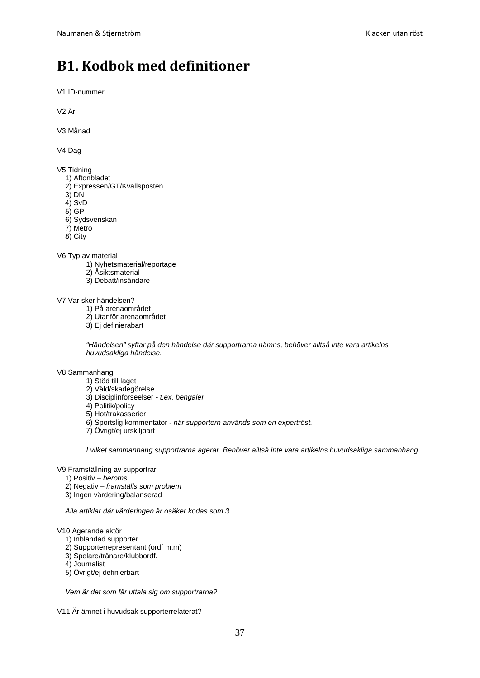# <span id="page-36-0"></span>**B1. Kodbok med definitioner**

V1 ID-nummer

V2 År

V3 Månad

V4 Dag

V5 Tidning

- 1) Aftonbladet
- 2) Expressen/GT/Kvällsposten
- 3) DN

4) SvD

- 5) GP
- 6) Sydsvenskan
- 7) Metro
- 8) City

V6 Typ av material

- 1) Nyhetsmaterial/reportage
- 2) Åsiktsmaterial
- 3) Debatt/insändare

V7 Var sker händelsen?

- 1) På arenaområdet
- 2) Utanför arenaområdet
- 3) Ej definierabart

*"Händelsen" syftar på den händelse där supportrarna nämns, behöver alltså inte vara artikelns huvudsakliga händelse.*

V8 Sammanhang

- 1) Stöd till laget
- 2) Våld/skadegörelse
- 3) Disciplinförseelser *- t.ex. bengaler*
- 4) Politik/policy
- 5) Hot/trakasserier
- 6) Sportslig kommentator *- när supportern används som en expertröst.*
- 7) Övrigt/ej urskiljbart

*I vilket sammanhang supportrarna agerar. Behöver alltså inte vara artikelns huvudsakliga sammanhang.*

V9 Framställning av supportrar

- 1) Positiv *– beröms*
- 2) Negativ *– framställs som problem*
- 3) Ingen värdering/balanserad

*Alla artiklar där värderingen är osäker kodas som 3.*

#### V10 Agerande aktör

- 1) Inblandad supporter
- 2) Supporterrepresentant (ordf m.m)
- 3) Spelare/tränare/klubbordf.
- 4) Journalist
- 5) Övrigt/ej definierbart

*Vem är det som får uttala sig om supportrarna?*

V11 Är ämnet i huvudsak supporterrelaterat?